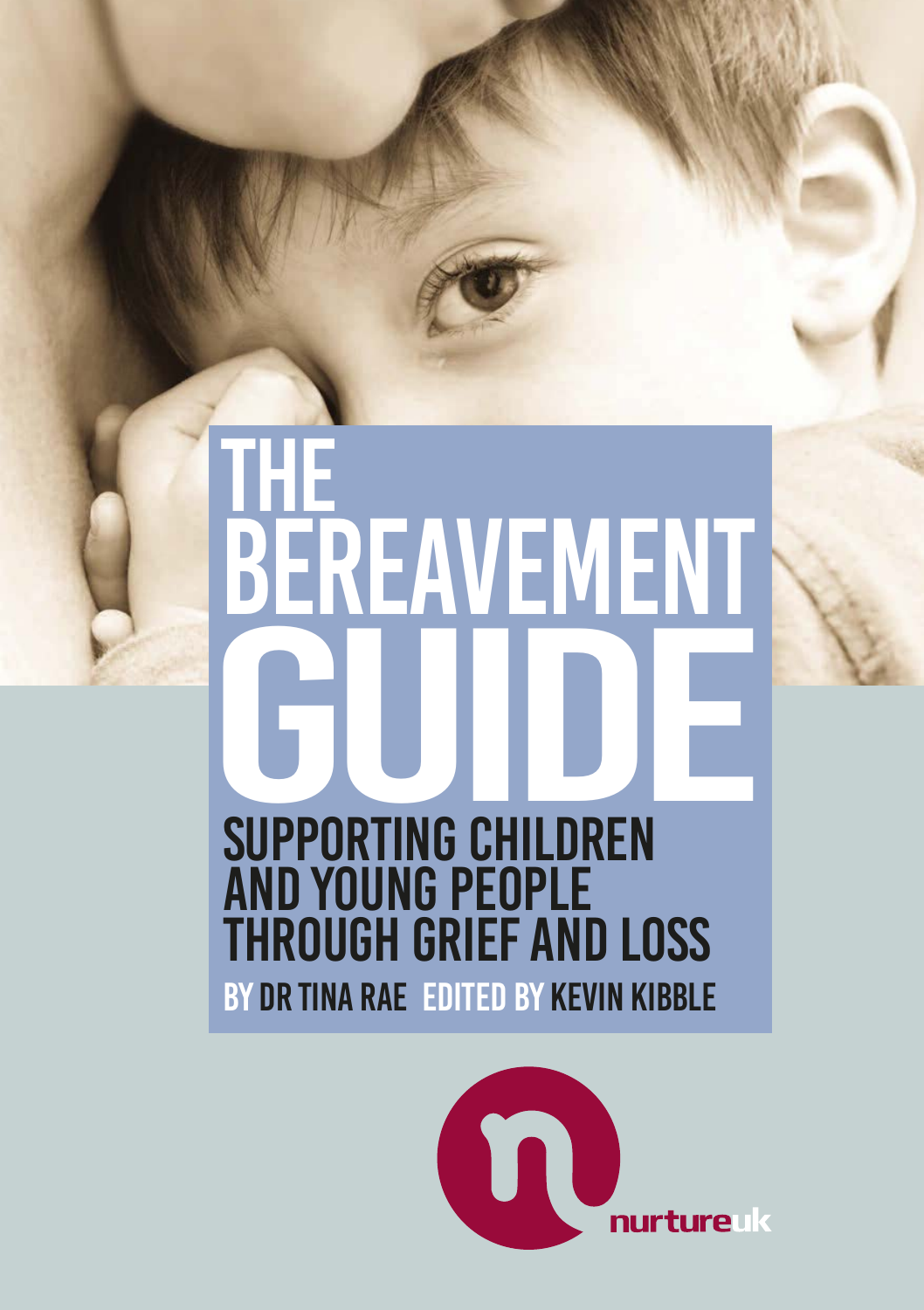# The BEREAVEMENT By Dr Tina Rae Edited by Kevin Kibble Supporting children and young people through grief and loss

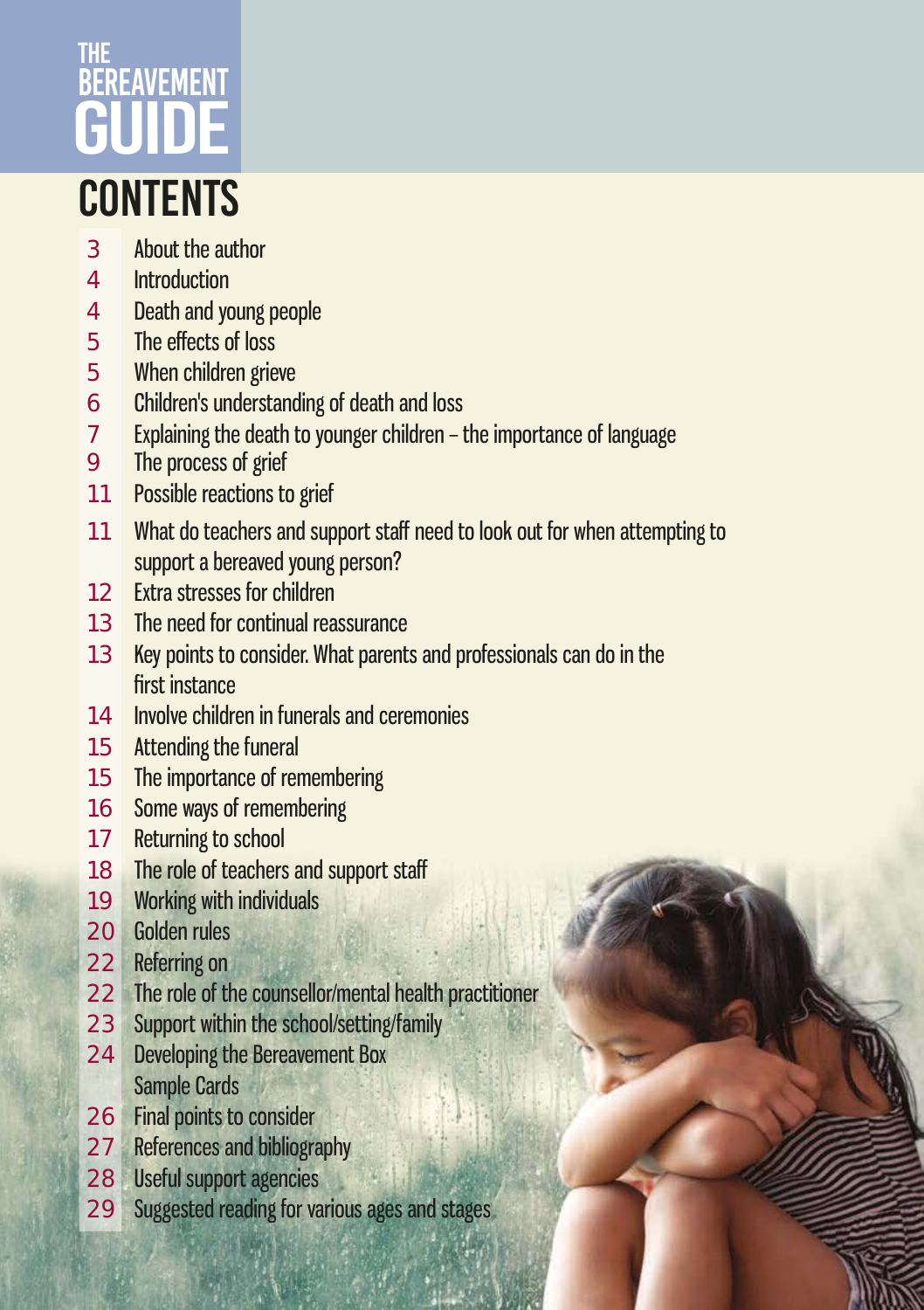# **CONTENTS THF BEREAVEMENT** GUIDE

### About the author

- Introduction
- Death and young people
- The effects of loss
- When children grieve
- Children's understanding of death and loss
- Explaining the death to younger children the importance of language
- The process of grief
- 11 Possible reactions to grief
- What do teachers and support staff need to look out for when attempting to support a bereaved young person?
- Extra stresses for children
- The need for continual reassurance
- Key points to consider. What parents and professionals can do in the first instance
- Involve children in funerals and ceremonies
- Attending the funeral
- The importance of remembering
- Some ways of remembering
- 17 Returning to school
- 18 The role of teachers and support staff
- Working with individuals
- Golden rules
- Referring on
- 22 The role of the counsellor/mental health practitioner
- Support within the school/setting/family
- Developing the Bereavement Box Sample Cards
- Final points to consider
- References and bibliography
- Useful support agencies
- Suggested reading for various ages and stages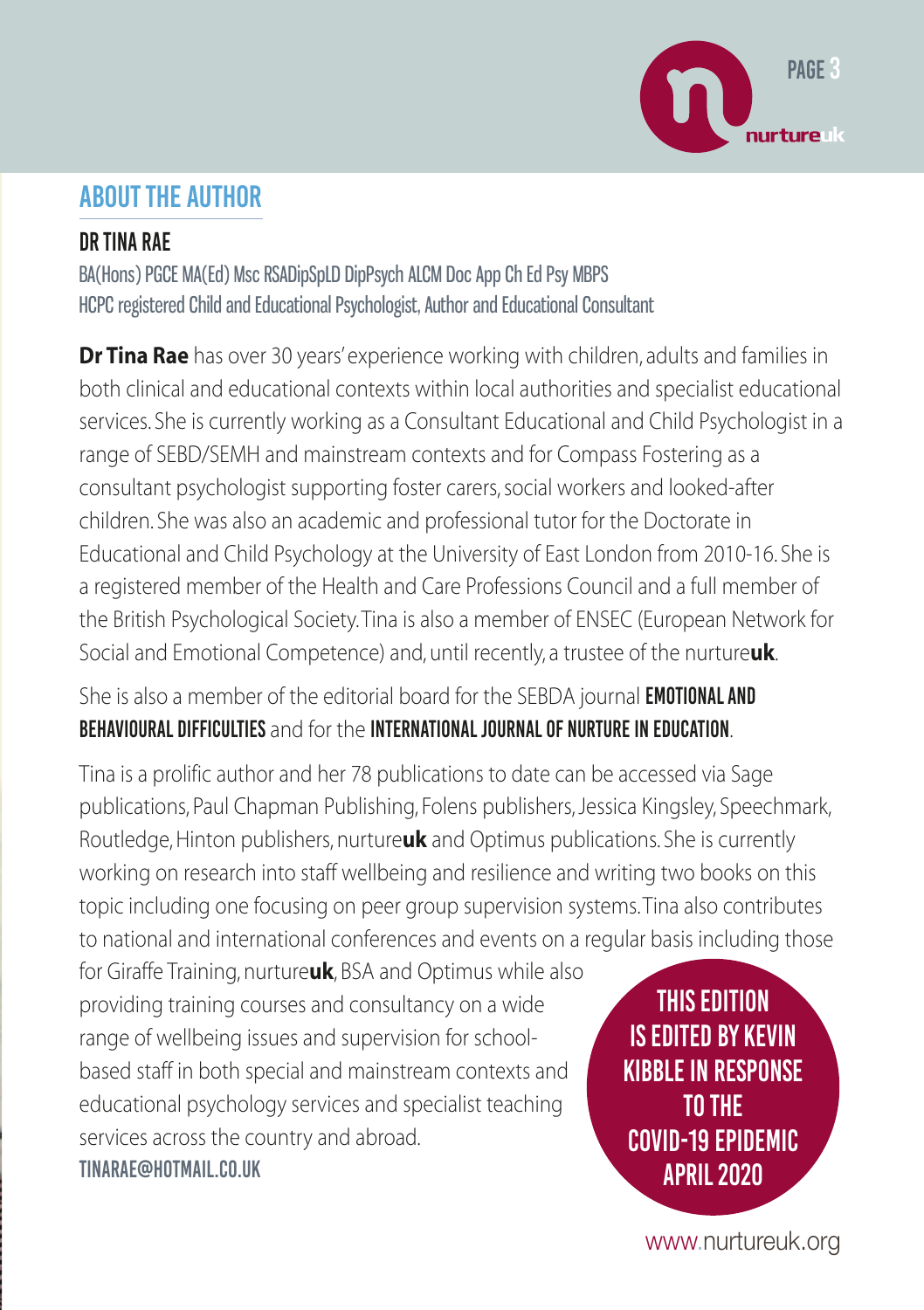

### About the author

#### Dr Tina Rae

BA(Hons) PGCE MA(Ed) Msc RSADipSpLD DipPsych ALCM Doc App Ch Ed Psy MBPS HCPC registered Child and Educational Psychologist, Author and Educational Consultant

**Dr Tina Rae** has over 30 years' experience working with children, adults and families in both clinical and educational contexts within local authorities and specialist educational services. She is currently working as a Consultant Educational and Child Psychologist in a range of SEBD/SEMH and mainstream contexts and for Compass Fostering as a consultant psychologist supporting foster carers, social workers and looked-after children. She was also an academic and professional tutor for the Doctorate in Educational and Child Psychology at the University of East London from 2010-16. She is a registered member of the Health and Care Professions Council and a full member of the British Psychological Society. Tina is also a member of ENSEC (European Network for Social and Emotional Competence) and, until recently, a trustee of the nurture**uk**.

### She is also a member of the editorial board for the SEBDA journal **EMOTIONAL AND** Behavioural Difficulties and for the International Journal of Nurture in Education.

Tina is a prolific author and her 78 publications to date can be accessed via Sage publications, Paul Chapman Publishing, Folens publishers, Jessica Kingsley, Speechmark, Routledge, Hinton publishers, nurture**uk** and Optimus publications. She is currently working on research into staff wellbeing and resilience and writing two books on this topic including one focusing on peer group supervision systems. Tina also contributes to national and international conferences and events on a regular basis including those

for Giraffe Training, nurture**uk**, BSA and Optimus while also providing training courses and consultancy on a wide range of wellbeing issues and supervision for schoolbased staff in both special and mainstream contexts and educational psychology services and specialist teaching services across the country and abroad. tinarae@hotmail.co.uk

This edition IS edited by Kevin Kibble in response to the Covid-19 epidemic April 2020

www.nurtureuk.org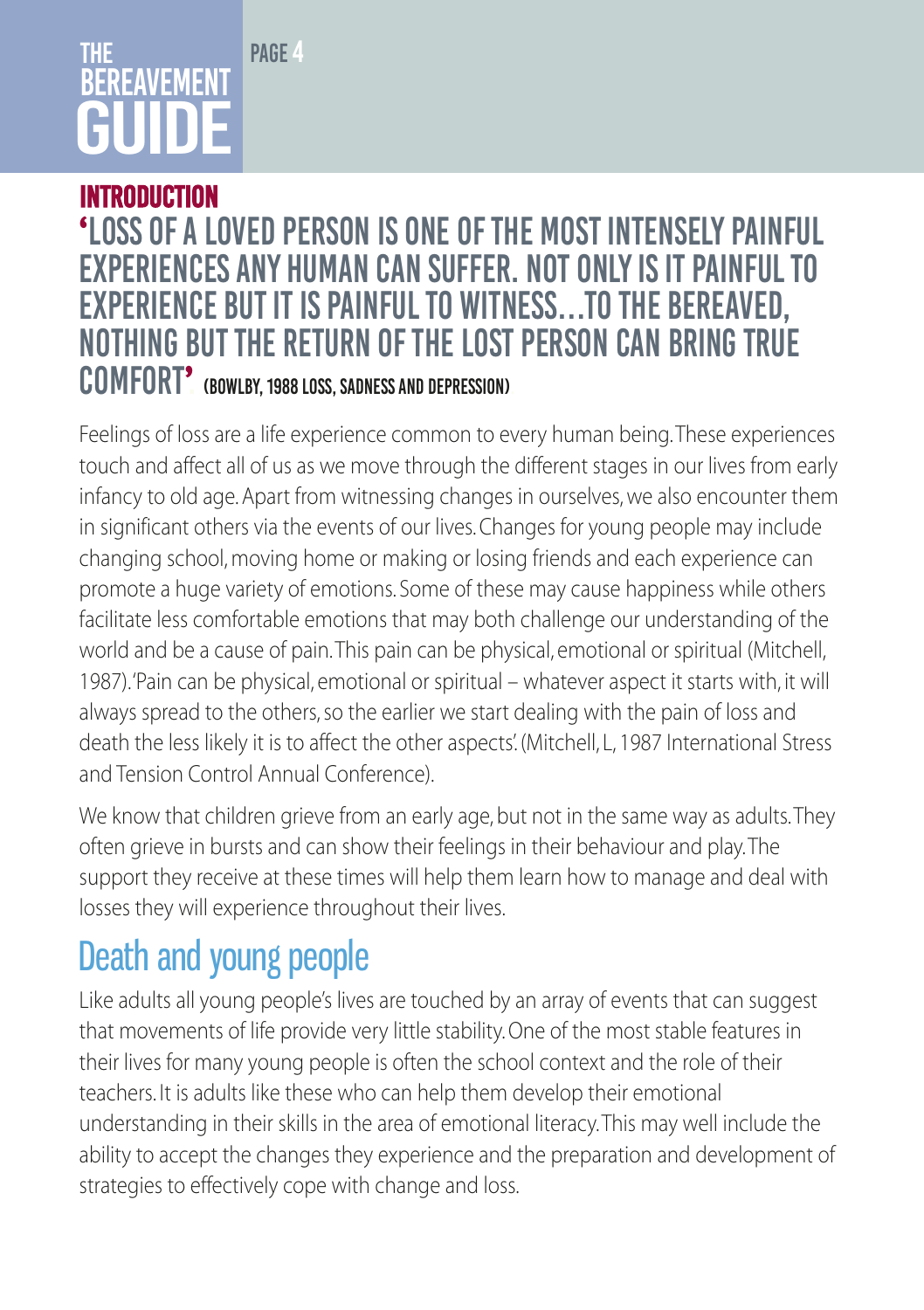# The **REREAVEMENT** GUIDE

PAGE 4

### Introduction **'**Loss of a loved person is one of the most intensely painful experiences any human can suffer. not only is it painful to experience but it is painful to witness…To the bereaved, nothing but the return of the lost person can bring true comfort**'**. (Bowlby, 1988 Loss, Sadness and Depression).

Feelings of loss are a life experience common to every human being. These experiences touch and affect all of us as we move through the different stages in our lives from early infancy to old age. Apart from witnessing changes in ourselves, we also encounter them in significant others via the events of our lives. Changes for young people may include changing school, moving home or making or losing friends and each experience can promote a huge variety of emotions. Some of these may cause happiness while others facilitate less comfortable emotions that may both challenge our understanding of the world and be a cause of pain. This pain can be physical, emotional or spiritual (Mitchell, 1987). 'Pain can be physical, emotional or spiritual – whatever aspect it starts with, it will always spread to the others, so the earlier we start dealing with the pain of loss and death the less likely it is to affect the other aspects'. (Mitchell, L, 1987 International Stress and Tension Control Annual Conference).

We know that children grieve from an early age, but not in the same way as adults. They often grieve in bursts and can show their feelings in their behaviour and play. The support they receive at these times will help them learn how to manage and deal with losses they will experience throughout their lives.

# Death and young people

Like adults all young people's lives are touched by an array of events that can suggest that movements of life provide very little stability. One of the most stable features in their lives for many young people is often the school context and the role of their teachers. It is adults like these who can help them develop their emotional understanding in their skills in the area of emotional literacy. This may well include the ability to accept the changes they experience and the preparation and development of strategies to effectively cope with change and loss.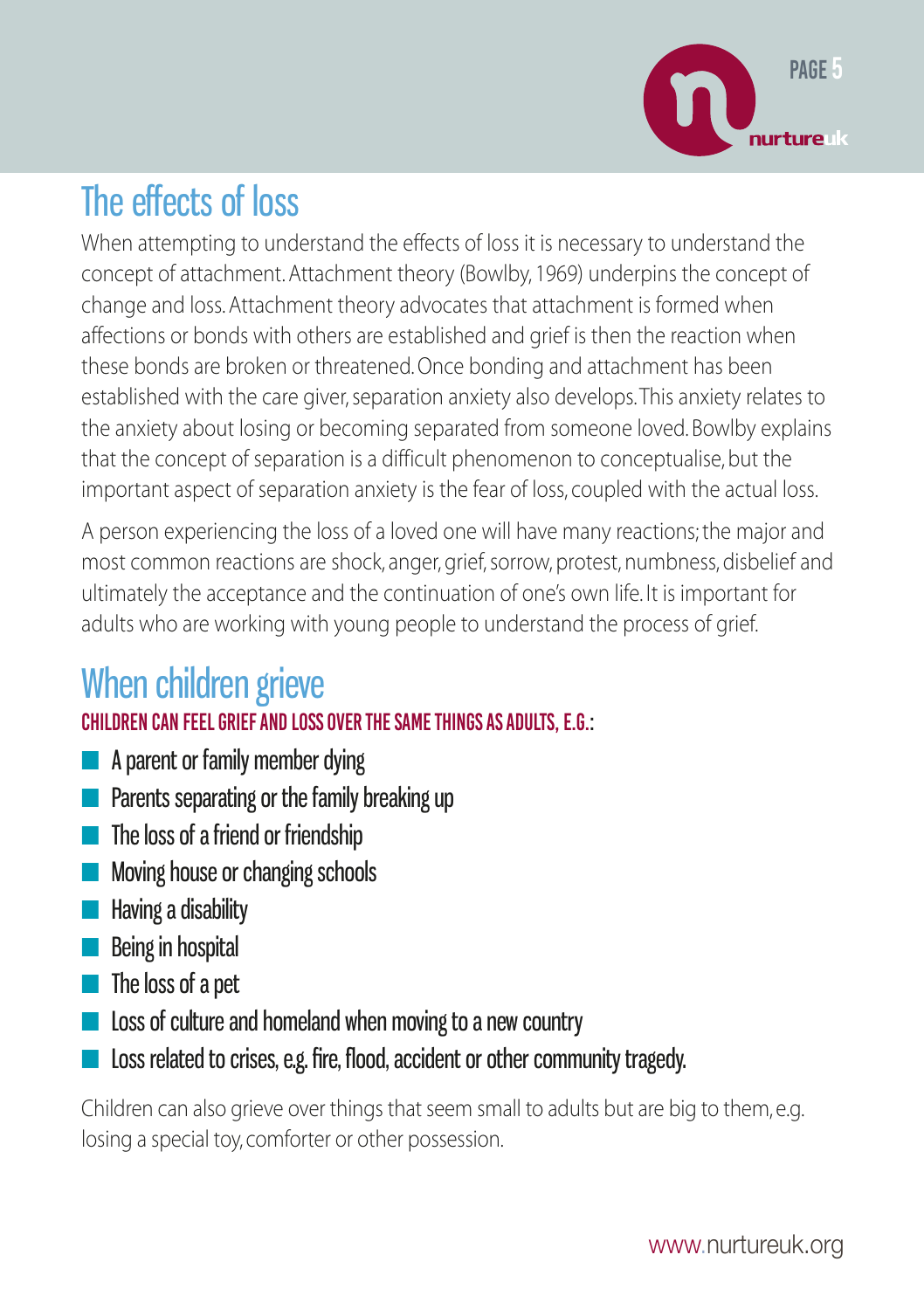

# The effects of loss

When attempting to understand the effects of loss it is necessary to understand the concept of attachment. Attachment theory (Bowlby, 1969) underpins the concept of change and loss. Attachment theory advocates that attachment is formed when affections or bonds with others are established and grief is then the reaction when these bonds are broken or threatened. Once bonding and attachment has been established with the care giver, separation anxiety also develops. This anxiety relates to the anxiety about losing or becoming separated from someone loved. Bowlby explains that the concept of separation is a difficult phenomenon to conceptualise, but the important aspect of separation anxiety is the fear of loss, coupled with the actual loss.

A person experiencing the loss of a loved one will have many reactions; the major and most common reactions are shock, anger, grief, sorrow, protest, numbness, disbelief and ultimately the acceptance and the continuation of one's own life. It is important for adults who are working with young people to understand the process of grief.

# When children grieve

### Children can feel grief and loss over the same things as adults, e.g.:

- A parent or family member dying
- Parents separating or the family breaking up
- The loss of a friend or friendship
- Moving house or changing schools
- Having a disability
- Being in hospital
- The loss of a pet
- Loss of culture and homeland when moving to a new country
- Loss related to crises, e.g. fire, flood, accident or other community tragedy.

Children can also grieve over things that seem small to adults but are big to them, e.g. losing a special toy, comforter or other possession.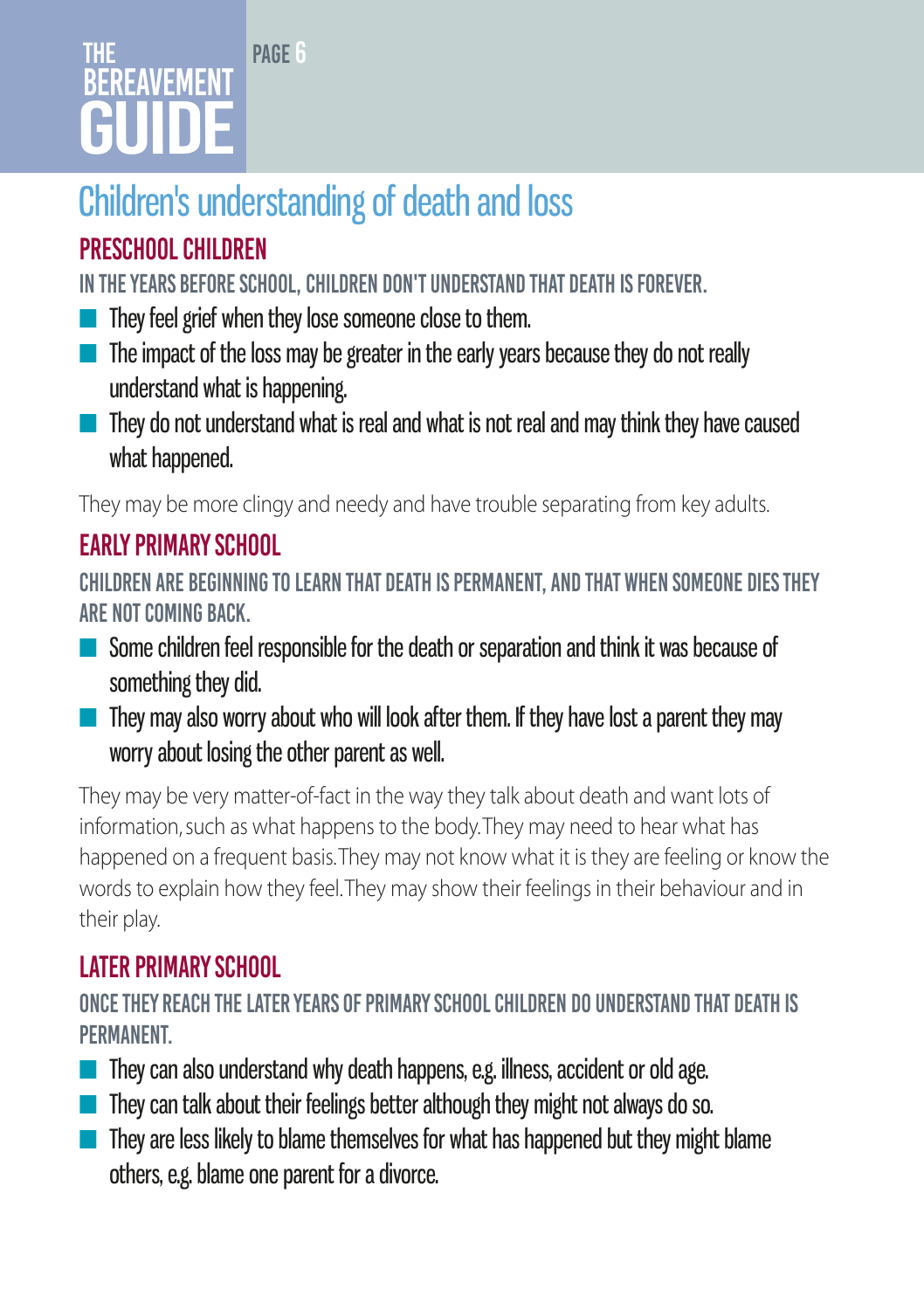# The **BEREAVEMENT** GUIDE

# Children's understanding of death and loss

PAGE 6

# Preschool children

In the years before school, children don't understand that death is forever.

- They feel grief when they lose someone close to them.
- The impact of the loss may be greater in the early years because they do not really understand what is happening.
- They do not understand what is real and what is not real and may think they have caused what happened.

They may be more clingy and needy and have trouble separating from key adults.

# Early primary school

Children are beginning to learn that death is permanent, and that when someone dies they are not coming back.

- Some children feel responsible for the death or separation and think it was because of something they did.
- They may also worry about who will look after them. If they have lost a parent they may worry about losing the other parent as well.

They may be very matter-of-fact in the way they talk about death and want lots of information, such as what happens to the body. They may need to hear what has happened on a frequent basis. They may not know what it is they are feeling or know the words to explain how they feel. They may show their feelings in their behaviour and in their play.

# Later primary school

Once they reach the later years of primary school children do understand that death is **PFRMANENT** 

- $\blacksquare$  They can also understand why death happens, e.g. illness, accident or old age.
- They can talk about their feelings better although they might not always do so.
- They are less likely to blame themselves for what has happened but they might blame others, e.g. blame one parent for a divorce.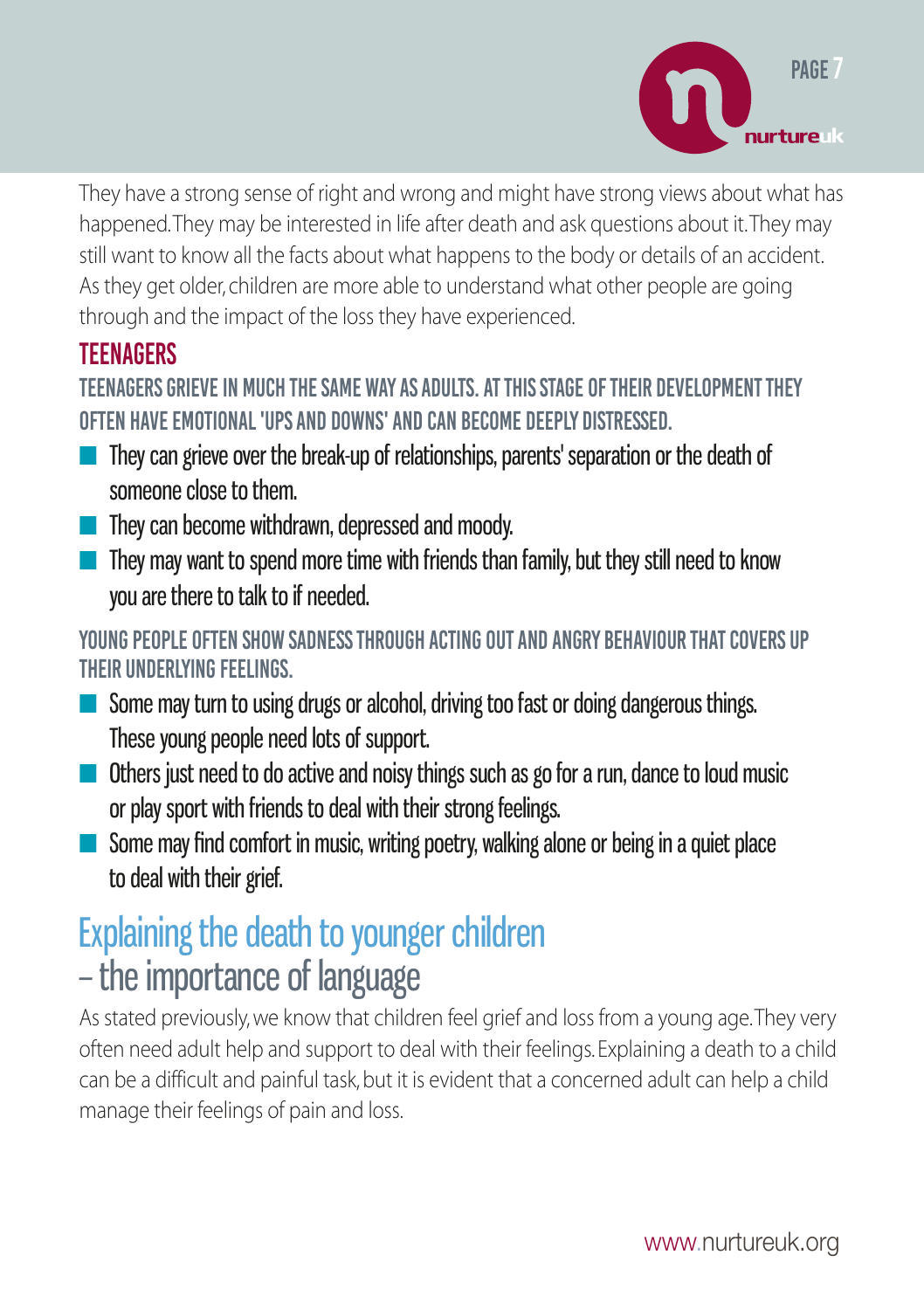

They have a strong sense of right and wrong and might have strong views about what has happened. They may be interested in life after death and ask questions about it. They may still want to know all the facts about what happens to the body or details of an accident. As they get older, children are more able to understand what other people are going through and the impact of the loss they have experienced.

### **TEENAGERS**

Teenagers grieve in much the same way as adults. At this stage of their development they often have emotional 'ups and downs' and can become deeply distressed.

- They can grieve over the break-up of relationships, parents' separation or the death of someone close to them.
- They can become withdrawn, depressed and moody.
- They may want to spend more time with friends than family, but they still need to know you are there to talk to if needed.

Young people often show sadness through acting out and angry behaviour that covers up their underlying feelings.

- Some may turn to using drugs or alcohol, driving too fast or doing dangerous things. These young people need lots of support.
- Others just need to do active and noisy things such as go for a run, dance to loud music or play sport with friends to deal with their strong feelings.
- Some may find comfort in music, writing poetry, walking alone or being in a quiet place to deal with their grief.

# Explaining the death to younger children

# – the importance of language

As stated previously, we know that children feel grief and loss from a young age. They very often need adult help and support to deal with their feelings. Explaining a death to a child can be a difficult and painful task, but it is evident that a concerned adult can help a child manage their feelings of pain and loss.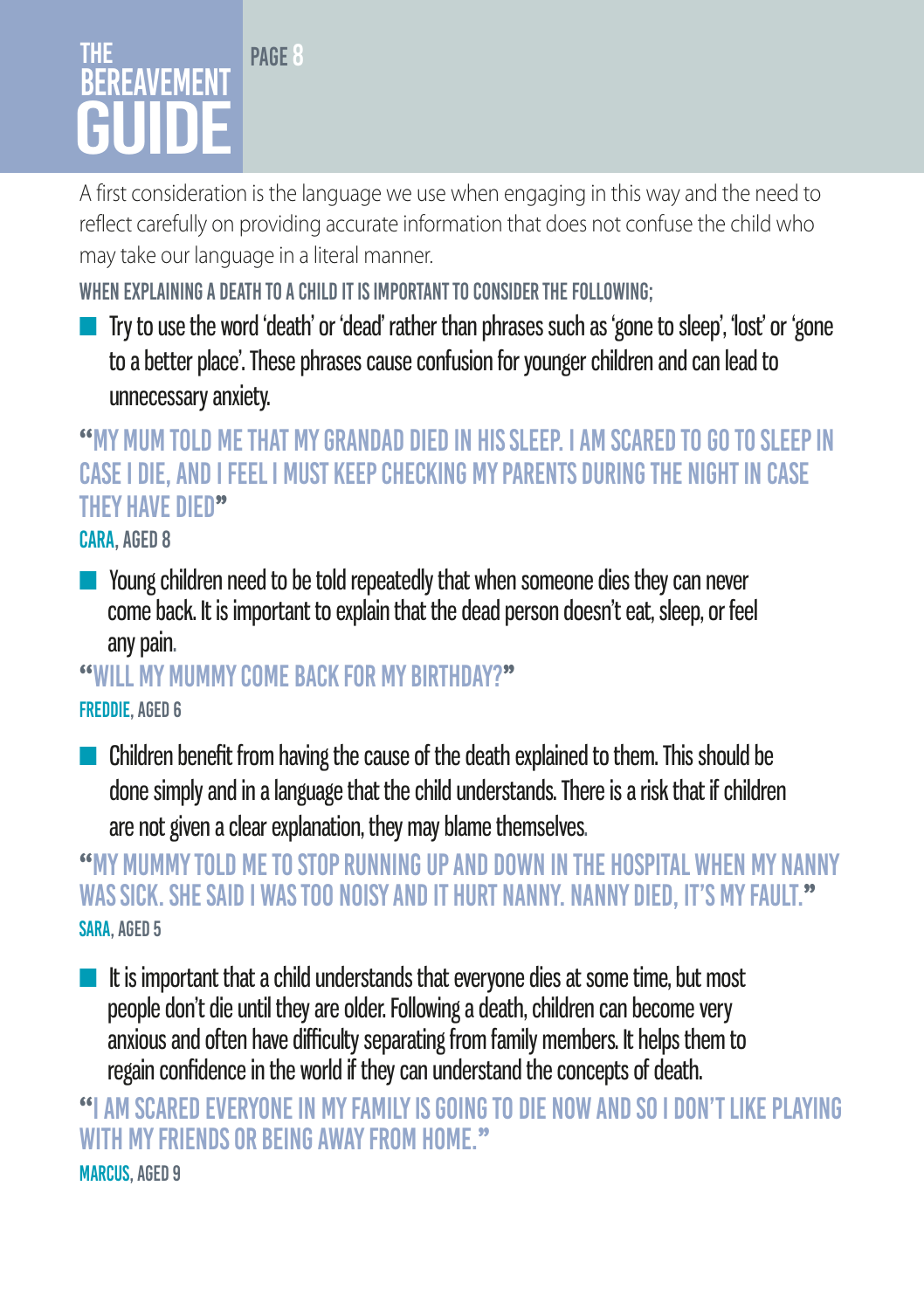# The **BEREAVEMENT** GUIDE

PAGE 8

A first consideration is the language we use when engaging in this way and the need to reflect carefully on providing accurate information that does not confuse the child who may take our language in a literal manner.

WHEN EXPLAINING A DEATH TO A CHILD IT IS IMPORTANT TO CONSIDER THE FOLLOWING:

■ Try to use the word 'death' or 'dead' rather than phrases such as 'gone to sleep', 'lost' or 'gone to a better place'. These phrases cause confusion for younger children and can lead to unnecessary anxiety.

### **''**My mum told me that my Grandad died in his sleep. I am scared to go to sleep in case I die, and I feel I must keep checking my parents during the night in case they have died**''**

Cara, aged 8

■ Young children need to be told repeatedly that when someone dies they can never come back. It is important to explain that the dead person doesn't eat, sleep, or feel any pain.

**''**Will my mummy come back for my birthday?**''**  Freddie, aged 6

■ Children benefit from having the cause of the death explained to them. This should be done simply and in a language that the child understands. There is a risk that if children are not given a clear explanation, they may blame themselves.

### **"**My mummy told me to stop running up and down in the hospital when my nanny was sick. She said I was too noisy and it hurt nanny. Nanny died, it's my fault.**''** SARA, AGED 5

■ It is important that a child understands that everyone dies at some time, but most people don't die until they are older. Following a death, children can become very anxious and often have difficulty separating from family members. It helps them to regain confidence in the world if they can understand the concepts of death.

**''**I am scared everyone in my family is going to die now and so I don't like playing with my friends or being away from home.**''** MARCUS, AGED 9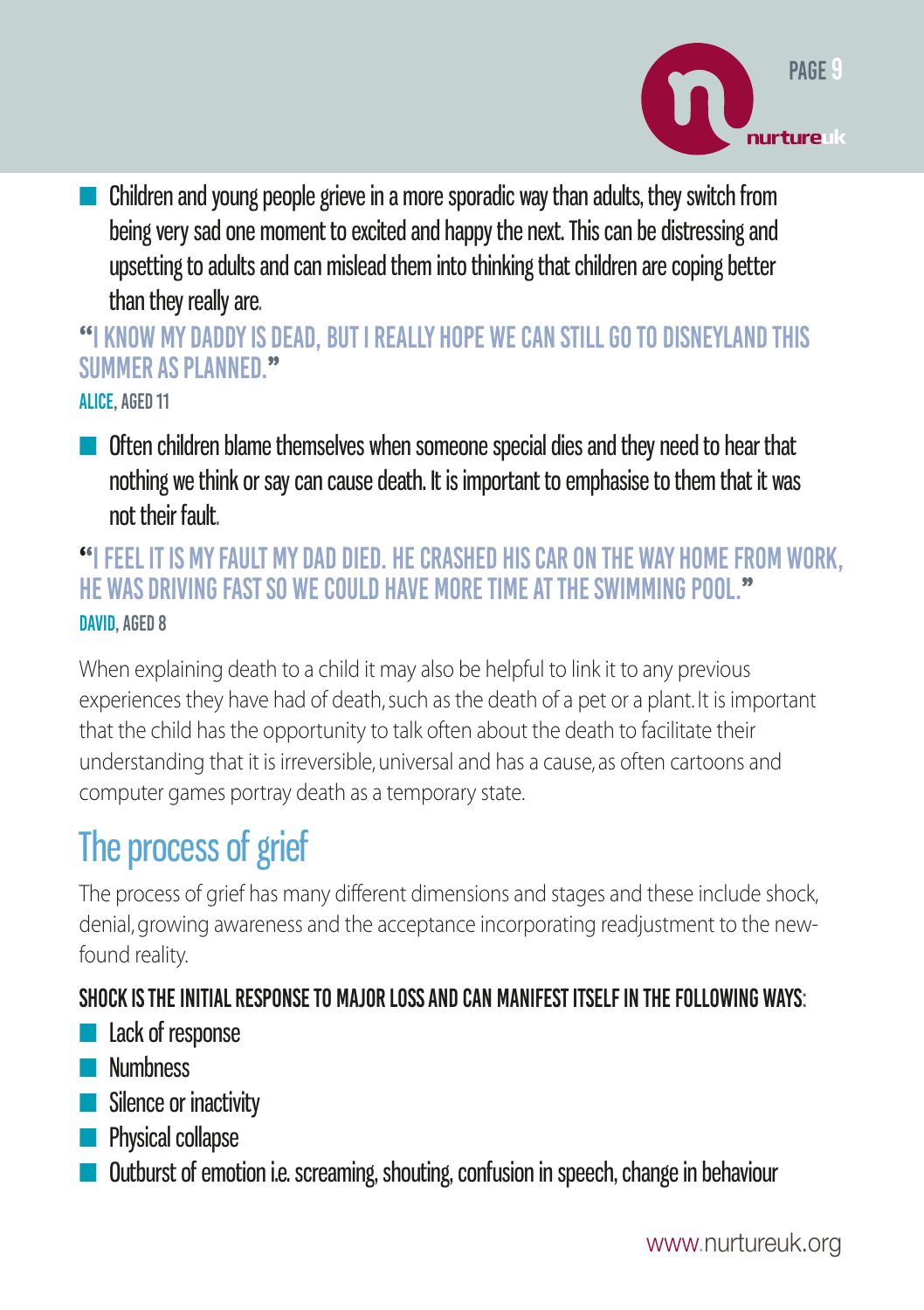

■ Children and young people grieve in a more sporadic way than adults, they switch from being very sad one moment to excited and happy the next. This can be distressing and upsetting to adults and can mislead them into thinking that children are coping better than they really are.

**''**I know my daddy is dead, but I really hope we can still go to Disneyland this summer as planned.**''**

Alice, aged 11

■ Often children blame themselves when someone special dies and they need to hear that nothing we think or say can cause death. It is important to emphasise to them that it was not their fault.

### **''**I feel it is my fault my dad died. He crashed his car on the way home from work, he was driving fast so we could have more time at the swimming pool.**''** David, aged 8

When explaining death to a child it may also be helpful to link it to any previous experiences they have had of death, such as the death of a pet or a plant. It is important that the child has the opportunity to talk often about the death to facilitate their understanding that it is irreversible, universal and has a cause, as often cartoons and computer games portray death as a temporary state.

# The process of grief

The process of grief has many different dimensions and stages and these include shock, denial, growing awareness and the acceptance incorporating readjustment to the newfound reality.

### Shock is the initial response to major loss and can manifest itself in the following ways:

- Lack of response
- Numbness
- Silence or inactivity
- **B** Physical collapse
- Outburst of emotion i.e. screaming, shouting, confusion in speech, change in behaviour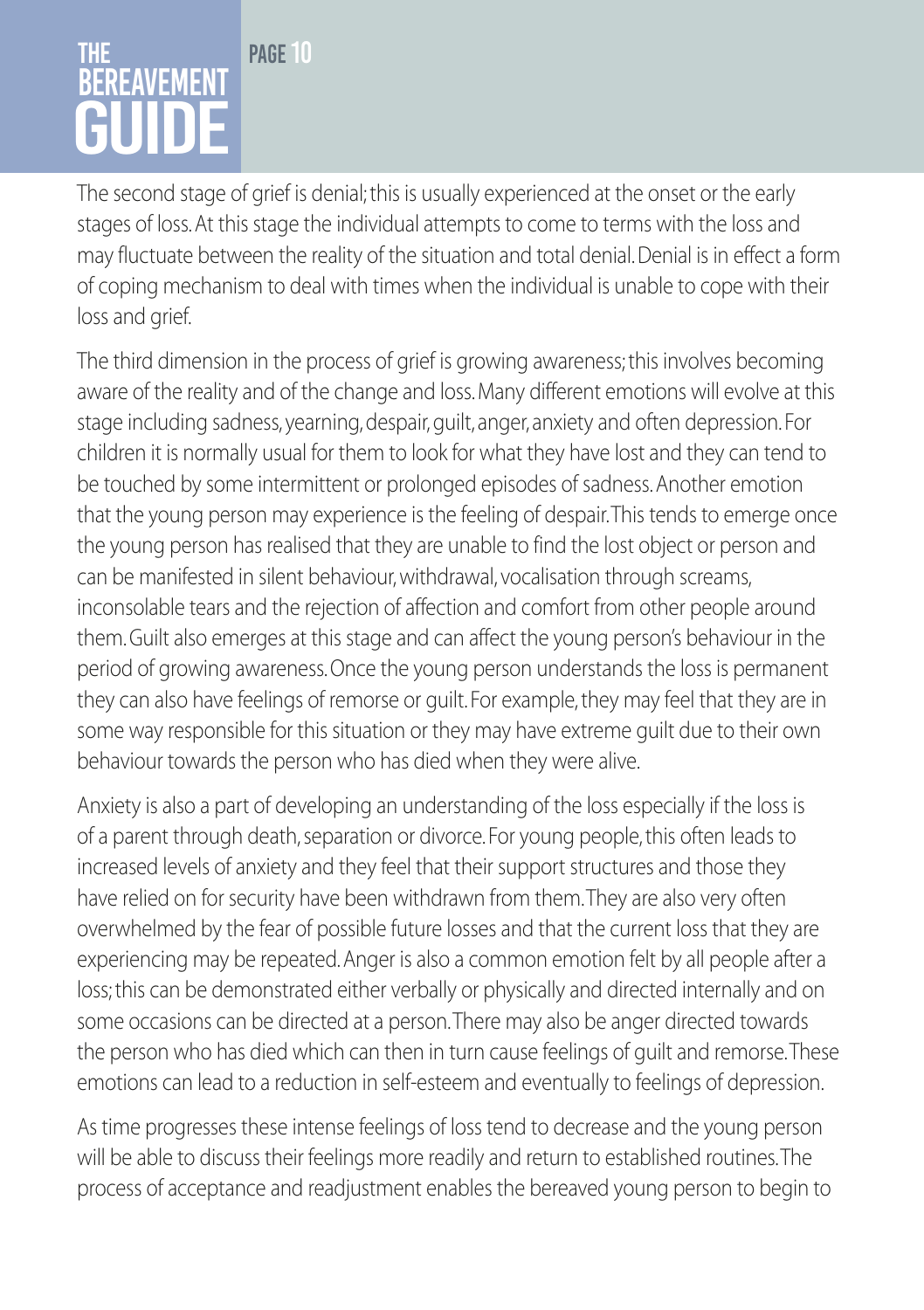### PAGE 10 The **BEREAVEMENT** GUIDE

The second stage of grief is denial; this is usually experienced at the onset or the early stages of loss. At this stage the individual attempts to come to terms with the loss and may fluctuate between the reality of the situation and total denial. Denial is in effect a form of coping mechanism to deal with times when the individual is unable to cope with their loss and grief.

The third dimension in the process of grief is growing awareness; this involves becoming aware of the reality and of the change and loss. Many different emotions will evolve at this stage including sadness, yearning, despair, guilt, anger, anxiety and often depression. For children it is normally usual for them to look for what they have lost and they can tend to be touched by some intermittent or prolonged episodes of sadness. Another emotion that the young person may experience is the feeling of despair. This tends to emerge once the young person has realised that they are unable to find the lost object or person and can be manifested in silent behaviour, withdrawal, vocalisation through screams, inconsolable tears and the rejection of affection and comfort from other people around them. Guilt also emerges at this stage and can affect the young person's behaviour in the period of growing awareness. Once the young person understands the loss is permanent they can also have feelings of remorse or guilt. For example, they may feel that they are in some way responsible for this situation or they may have extreme guilt due to their own behaviour towards the person who has died when they were alive.

Anxiety is also a part of developing an understanding of the loss especially if the loss is of a parent through death, separation or divorce. For young people, this often leads to increased levels of anxiety and they feel that their support structures and those they have relied on for security have been withdrawn from them. They are also very often overwhelmed by the fear of possible future losses and that the current loss that they are experiencing may be repeated. Anger is also a common emotion felt by all people after a loss; this can be demonstrated either verbally or physically and directed internally and on some occasions can be directed at a person. There may also be anger directed towards the person who has died which can then in turn cause feelings of guilt and remorse. These emotions can lead to a reduction in self-esteem and eventually to feelings of depression.

As time progresses these intense feelings of loss tend to decrease and the young person will be able to discuss their feelings more readily and return to established routines. The process of acceptance and readjustment enables the bereaved young person to begin to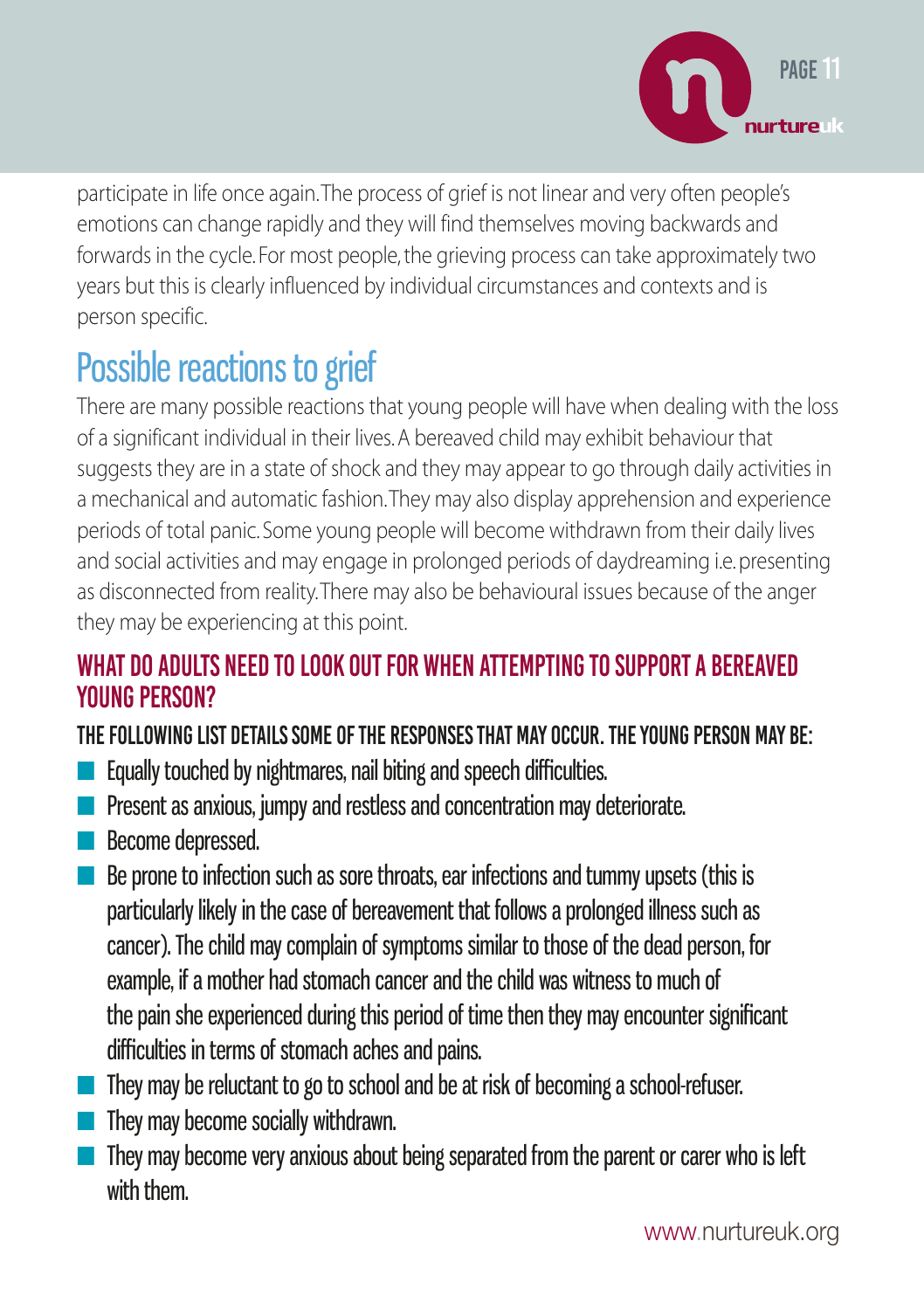

participate in life once again. The process of grief is not linear and very often people's emotions can change rapidly and they will find themselves moving backwards and forwards in the cycle. For most people, the grieving process can take approximately two years but this is clearly influenced by individual circumstances and contexts and is person specific.

# Possible reactions to grief

There are many possible reactions that young people will have when dealing with the loss of a significant individual in their lives. A bereaved child may exhibit behaviour that suggests they are in a state of shock and they may appear to go through daily activities in a mechanical and automatic fashion. They may also display apprehension and experience periods of total panic. Some young people will become withdrawn from their daily lives and social activities and may engage in prolonged periods of daydreaming i.e. presenting as disconnected from reality. There may also be behavioural issues because of the anger they may be experiencing at this point.

### WHAT DO ADULTS NEED TO LOOK OUT FOR WHEN ATTEMPTING TO SUPPORT A BEREAVED **YOUNG PERSON?**

### The following list details some of the responses that may occur. The young person may be:

- Equally touched by nightmares, nail biting and speech difficulties.
- Present as anxious, jumpy and restless and concentration may deteriorate.
- Become depressed.
- Be prone to infection such as sore throats, ear infections and tummy upsets (this is particularly likely in the case of bereavement that follows a prolonged illness such as cancer). The child may complain of symptoms similar to those of the dead person, for example, if a mother had stomach cancer and the child was witness to much of the pain she experienced during this period of time then they may encounter significant difficulties in terms of stomach aches and pains.
- They may be reluctant to go to school and be at risk of becoming a school-refuser.
- They may become socially withdrawn.
- They may become very anxious about being separated from the parent or carer who is left with them.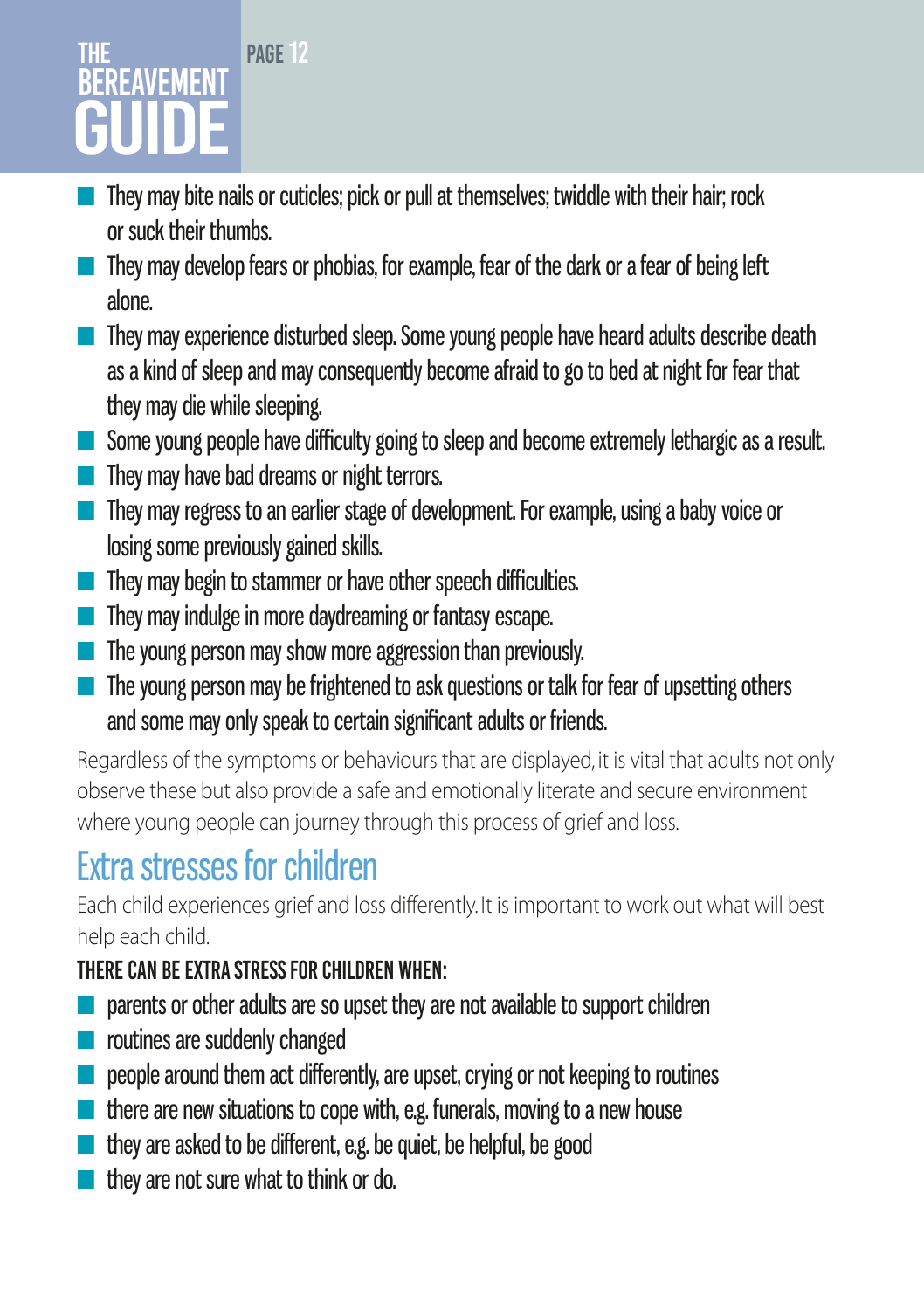### PAGE<sub>12</sub> **THF BEREAVEMENT** GUIDE

- They may bite nails or cuticles; pick or pull at themselves; twiddle with their hair; rock or suck their thumbs.
- They may develop fears or phobias, for example, fear of the dark or a fear of being left alone.
- They may experience disturbed sleep. Some young people have heard adults describe death as a kind of sleep and may consequently become afraid to go to bed at night for fear that they may die while sleeping.
- Some young people have difficulty going to sleep and become extremely lethargic as a result.
- They may have bad dreams or night terrors.
- They may regress to an earlier stage of development. For example, using a baby voice or losing some previously gained skills.
- They may begin to stammer or have other speech difficulties.
- They may indulge in more daydreaming or fantasy escape.
- The young person may show more aggression than previously.
- The young person may be frightened to ask questions or talk for fear of upsetting others and some may only speak to certain significant adults or friends.

Regardless of the symptoms or behaviours that are displayed, it is vital that adults not only observe these but also provide a safe and emotionally literate and secure environment where young people can journey through this process of grief and loss.

# Extra stresses for children

Each child experiences grief and loss differently. It is important to work out what will best help each child.

### There can be extra stress for children when:

- parents or other adults are so upset they are not available to support children
- routines are suddenly changed
- people around them act differently, are upset, crying or not keeping to routines
- there are new situations to cope with, e.g. funerals, moving to a new house
- they are asked to be different, e.g. be quiet, be helpful, be good
- they are not sure what to think or do.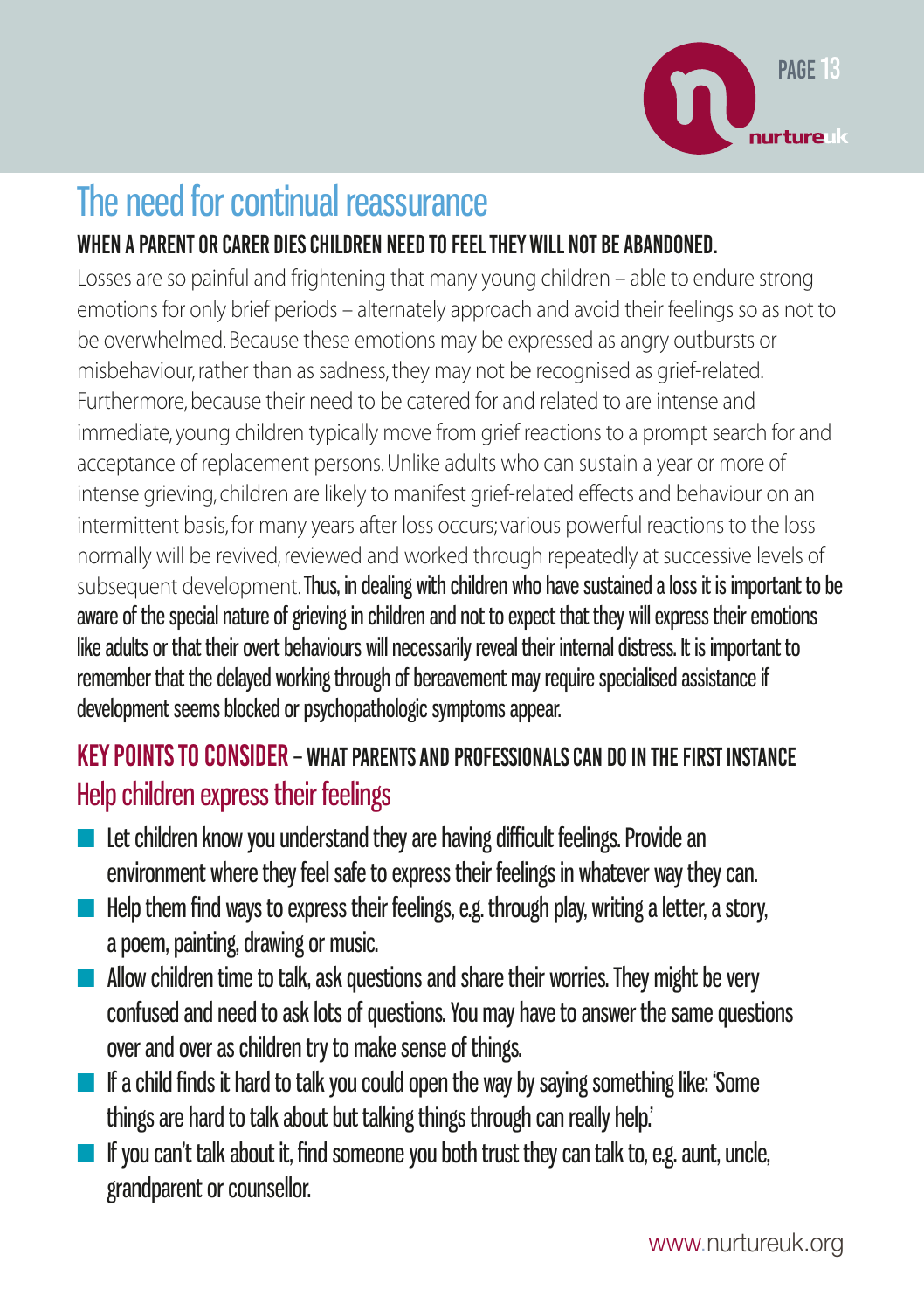

# The need for continual reassurance

### When a parent or carer dies children need to feel they will not be abandoned.

Losses are so painful and frightening that many young children – able to endure strong emotions for only brief periods – alternately approach and avoid their feelings so as not to be overwhelmed. Because these emotions may be expressed as angry outbursts or misbehaviour, rather than as sadness, they may not be recognised as grief-related. Furthermore, because their need to be catered for and related to are intense and immediate, young children typically move from grief reactions to a prompt search for and acceptance of replacement persons. Unlike adults who can sustain a year or more of intense grieving, children are likely to manifest grief-related effects and behaviour on an intermittent basis, for many years after loss occurs; various powerful reactions to the loss normally will be revived, reviewed and worked through repeatedly at successive levels of subsequent development. Thus, in dealing with children who have sustained a loss it is important to be aware of the special nature of grieving in children and not to expect that they will express their emotions like adults or that their overt behaviours will necessarily reveal their internal distress. It is important to remember that the delayed working through of bereavement may require specialised assistance if development seems blocked or psychopathologic symptoms appear.

### Key points to consider – What parents and professionals can do in the first instance Help children express their feelings

- Let children know you understand they are having difficult feelings. Provide an environment where they feel safe to express their feelings in whatever way they can.
- $\blacksquare$  Help them find ways to express their feelings, e.g. through play, writing a letter, a story, a poem, painting, drawing or music.
- Allow children time to talk, ask questions and share their worries. They might be very confused and need to ask lots of questions. You may have to answer the same questions over and over as children try to make sense of things.
- If a child finds it hard to talk you could open the way by saying something like: 'Some things are hard to talk about but talking things through can really help.'
- $\blacksquare$  If you can't talk about it, find someone you both trust they can talk to, e.g. aunt, uncle, grandparent or counsellor.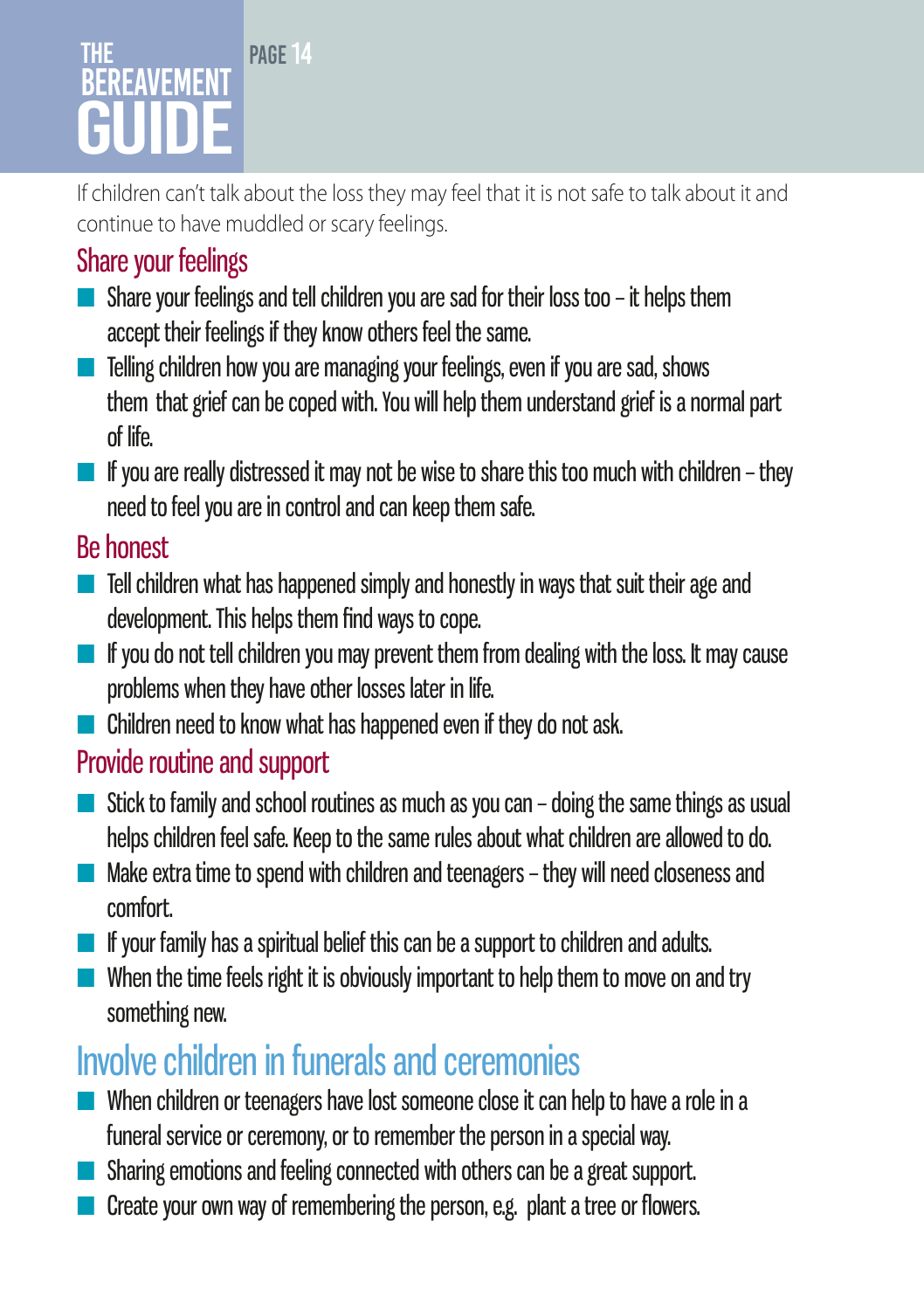### PAGE<sub>14</sub> The **BEREAVEMENT** GUIDE

If children can't talk about the loss they may feel that it is not safe to talk about it and continue to have muddled or scary feelings.

# Share your feelings

- Share your feelings and tell children you are sad for their loss too it helps them accept their feelings if they know others feel the same.
- Telling children how you are managing your feelings, even if you are sad, shows them that grief can be coped with. You will help them understand grief is a normal part of life.
- $\blacksquare$  If you are really distressed it may not be wise to share this too much with children they need to feel you are in control and can keep them safe.

### Be honest

- Tell children what has happened simply and honestly in ways that suit their age and development. This helps them find ways to cope.
- $\blacksquare$  If you do not tell children you may prevent them from dealing with the loss. It may cause problems when they have other losses later in life.
- Children need to know what has happened even if they do not ask.

# Provide routine and support

- $\blacksquare$  Stick to family and school routines as much as you can doing the same things as usual helps children feel safe. Keep to the same rules about what children are allowed to do.
- $\blacksquare$  Make extra time to spend with children and teenagers they will need closeness and comfort.
- If your family has a spiritual belief this can be a support to children and adults.
- When the time feels right it is obviously important to help them to move on and try something new.

# Involve children in funerals and ceremonies

- When children or teenagers have lost someone close it can help to have a role in a funeral service or ceremony, or to remember the person in a special way.
- Sharing emotions and feeling connected with others can be a great support.
- Create your own way of remembering the person, e.g. plant a tree or flowers.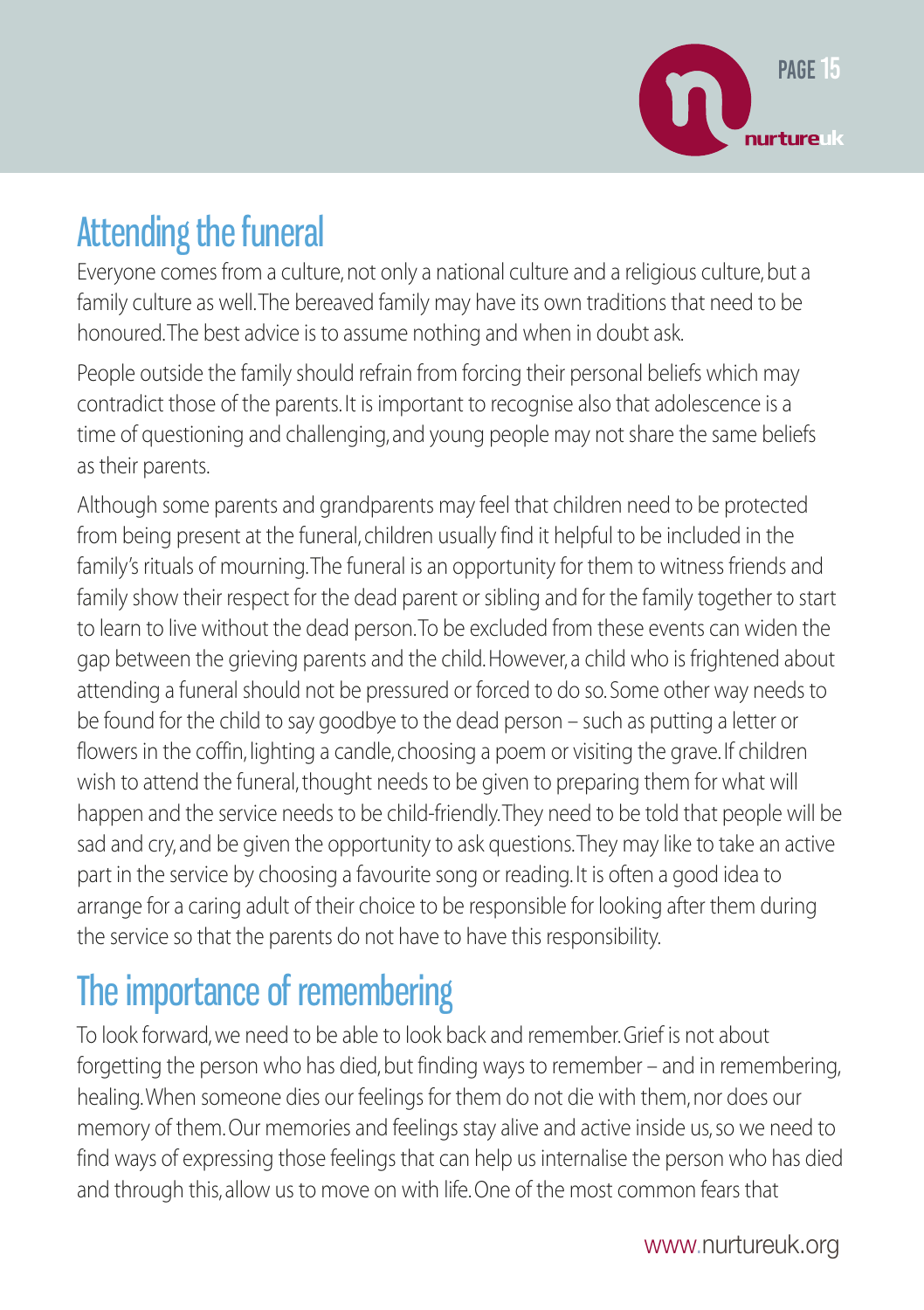

# Attending the funeral

Everyone comes from a culture, not only a national culture and a religious culture, but a family culture as well. The bereaved family may have its own traditions that need to be honoured. The best advice is to assume nothing and when in doubt ask.

People outside the family should refrain from forcing their personal beliefs which may contradict those of the parents. It is important to recognise also that adolescence is a time of questioning and challenging, and young people may not share the same beliefs as their parents.

Although some parents and grandparents may feel that children need to be protected from being present at the funeral, children usually find it helpful to be included in the family's rituals of mourning. The funeral is an opportunity for them to witness friends and family show their respect for the dead parent or sibling and for the family together to start to learn to live without the dead person. To be excluded from these events can widen the gap between the grieving parents and the child. However, a child who is frightened about attending a funeral should not be pressured or forced to do so. Some other way needs to be found for the child to say goodbye to the dead person – such as putting a letter or flowers in the coffin, lighting a candle, choosing a poem or visiting the grave. If children wish to attend the funeral, thought needs to be given to preparing them for what will happen and the service needs to be child-friendly. They need to be told that people will be sad and cry, and be given the opportunity to ask questions. They may like to take an active part in the service by choosing a favourite song or reading. It is often a good idea to arrange for a caring adult of their choice to be responsible for looking after them during the service so that the parents do not have to have this responsibility.

# The importance of remembering

To look forward, we need to be able to look back and remember. Grief is not about forgetting the person who has died, but finding ways to remember – and in remembering, healing. When someone dies our feelings for them do not die with them, nor does our memory of them. Our memories and feelings stay alive and active inside us, so we need to find ways of expressing those feelings that can help us internalise the person who has died and through this, allow us to move on with life. One of the most common fears that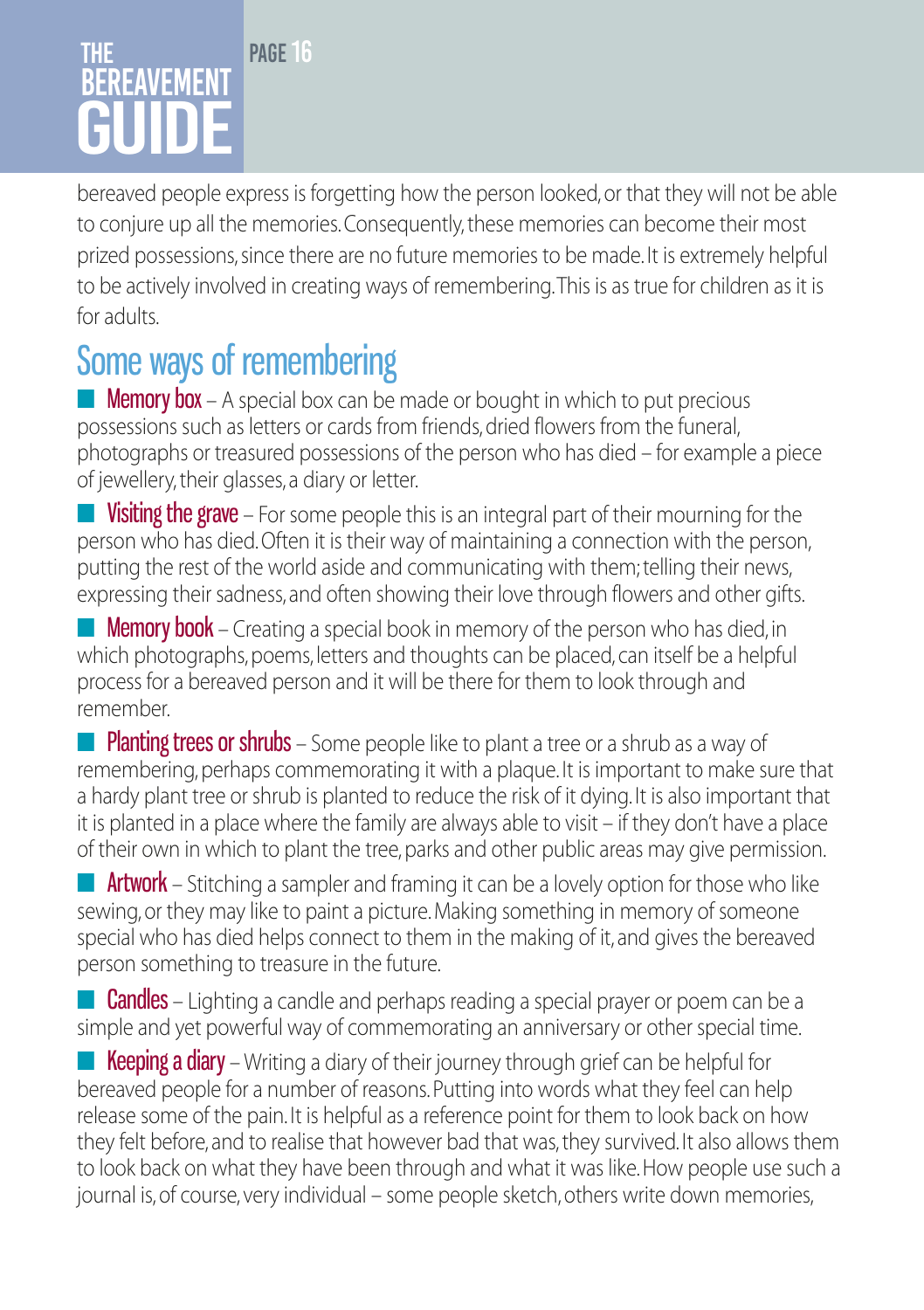### PAGE<sub>16</sub> The **BEREAVEMENT** GUIDE

bereaved people express is forgetting how the person looked, or that they will not be able to conjure up all the memories. Consequently, these memories can become their most prized possessions, since there are no future memories to be made. It is extremely helpful to be actively involved in creating ways of remembering. This is as true for children as it is for adults.

# Some ways of remembering

**Memory box** – A special box can be made or bought in which to put precious possessions such as letters or cards from friends, dried flowers from the funeral, photographs or treasured possessions of the person who has died – for example a piece of jewellery, their glasses, a diary or letter.

**Uisiting the grave** – For some people this is an integral part of their mourning for the person who has died. Often it is their way of maintaining a connection with the person, putting the rest of the world aside and communicating with them; telling their news, expressing their sadness, and often showing their love through flowers and other gifts.

**Memory book** – Creating a special book in memory of the person who has died, in which photographs, poems, letters and thoughts can be placed, can itself be a helpful process for a bereaved person and it will be there for them to look through and remember.

**• Planting trees or shrubs** – Some people like to plant a tree or a shrub as a way of remembering, perhaps commemorating it with a plaque. It is important to make sure that a hardy plant tree or shrub is planted to reduce the risk of it dying. It is also important that it is planted in a place where the family are always able to visit – if they don't have a place of their own in which to plant the tree, parks and other public areas may give permission.

**E** Artwork – Stitching a sampler and framing it can be a lovely option for those who like sewing, or they may like to paint a picture. Making something in memory of someone special who has died helps connect to them in the making of it, and gives the bereaved person something to treasure in the future.

■ **Candles** – Lighting a candle and perhaps reading a special prayer or poem can be a simple and yet powerful way of commemorating an anniversary or other special time.

**E** Keeping a diary – Writing a diary of their journey through grief can be helpful for bereaved people for a number of reasons. Putting into words what they feel can help release some of the pain. It is helpful as a reference point for them to look back on how they felt before, and to realise that however bad that was, they survived. It also allows them to look back on what they have been through and what it was like. How people use such a journal is, of course, very individual – some people sketch, others write down memories,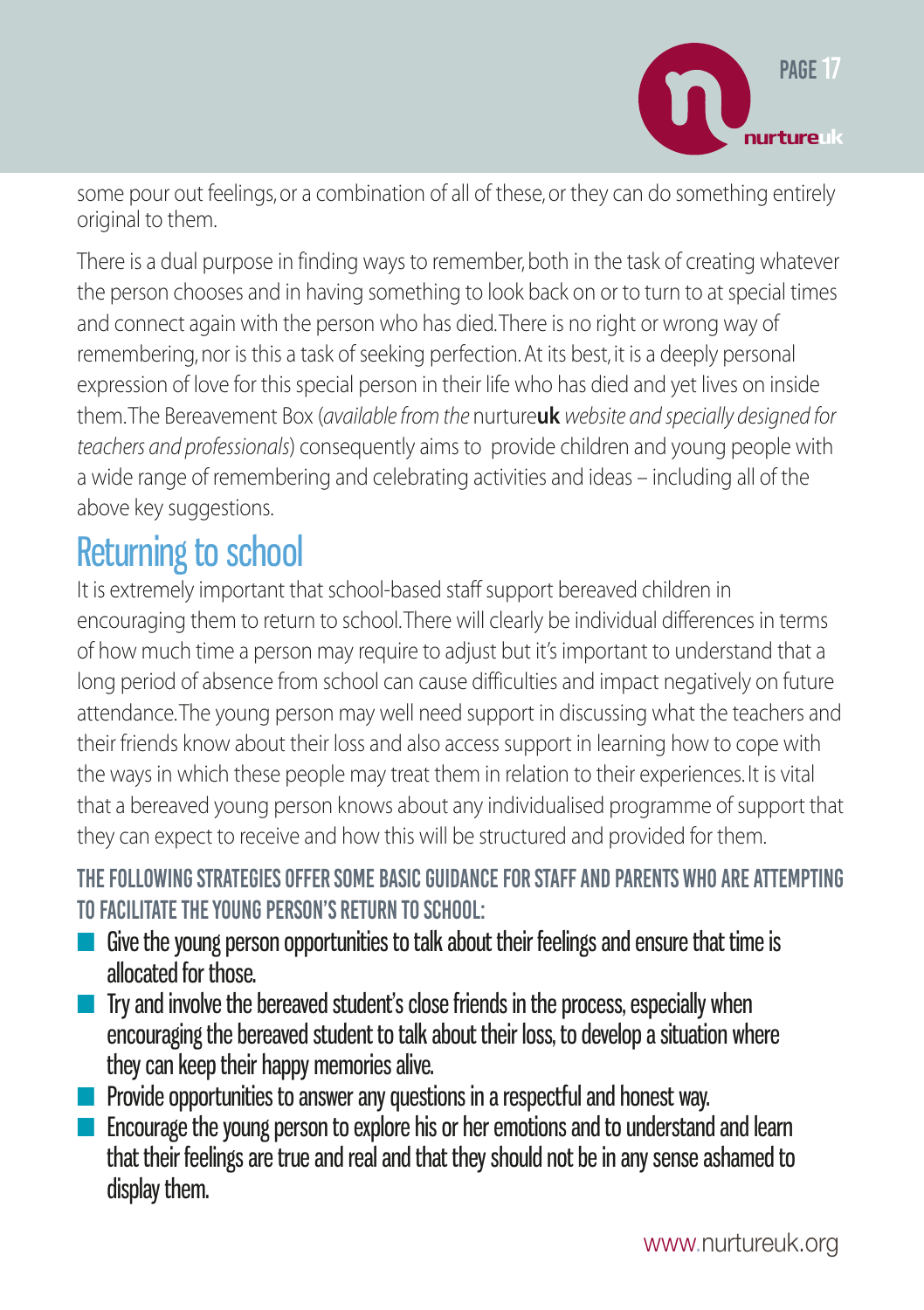

some pour out feelings, or a combination of all of these, or they can do something entirely original to them.

There is a dual purpose in finding ways to remember, both in the task of creating whatever the person chooses and in having something to look back on or to turn to at special times and connect again with the person who has died. There is no right or wrong way of remembering, nor is this a task of seeking perfection. At its best, it is a deeply personal expression of love for this special person in their life who has died and yet lives on inside them. The Bereavement Box (*available from the* nurture**uk** *website and specially designed for teachers and professionals*) consequently aims to provide children and young people with a wide range of remembering and celebrating activities and ideas – including all of the above key suggestions.

# Returning to school

It is extremely important that school-based staff support bereaved children in encouraging them to return to school. There will clearly be individual differences in terms of how much time a person may require to adjust but it's important to understand that a long period of absence from school can cause difficulties and impact negatively on future attendance. The young person may well need support in discussing what the teachers and their friends know about their loss and also access support in learning how to cope with the ways in which these people may treat them in relation to their experiences. It is vital that a bereaved young person knows about any individualised programme of support that they can expect to receive and how this will be structured and provided for them.

### The following strategies offer some basic guidance for staff and parents who are attempting to facilitate the young person's return to school:

- Give the young person opportunities to talk about their feelings and ensure that time is allocated for those.
- Try and involve the bereaved student's close friends in the process, especially when encouraging the bereaved student to talk about their loss, to develop a situation where they can keep their happy memories alive.
- Provide opportunities to answer any questions in a respectful and honest way.
- Encourage the young person to explore his or her emotions and to understand and learn that their feelings are true and real and that they should not be in any sense ashamed to display them.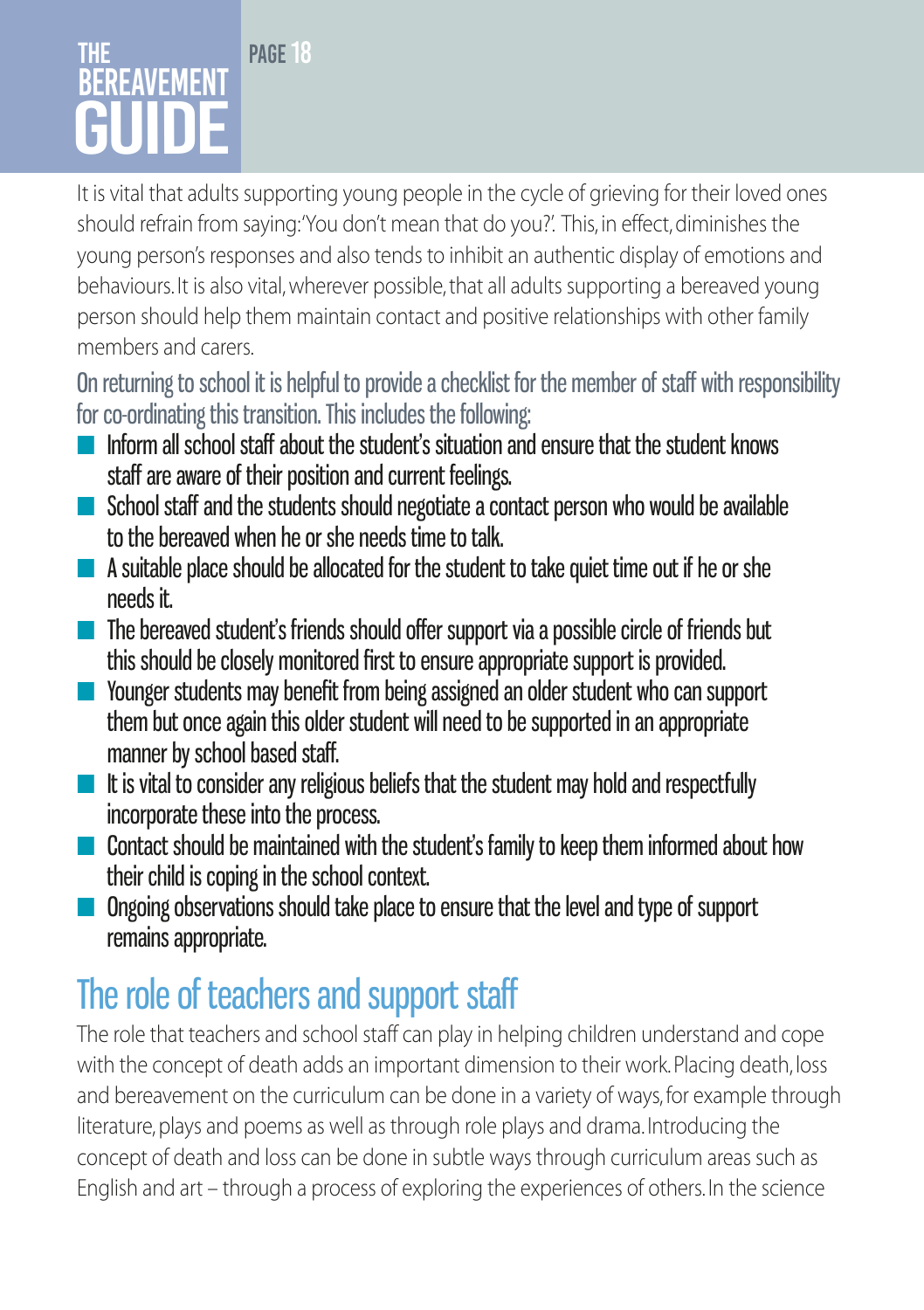### PAGE<sub>18</sub> **THF BERFAVEMENT** GUIDE

It is vital that adults supporting young people in the cycle of grieving for their loved ones should refrain from saying: 'You don't mean that do you?'. This, in effect, diminishes the young person's responses and also tends to inhibit an authentic display of emotions and behaviours. It is also vital, wherever possible, that all adults supporting a bereaved young person should help them maintain contact and positive relationships with other family members and carers.

On returning to school it is helpful to provide a checklist for the member of staff with responsibility for co-ordinating this transition. This includes the following:

- $\blacksquare$  Inform all school staff about the student's situation and ensure that the student knows staff are aware of their position and current feelings.
- School staff and the students should negotiate a contact person who would be available to the bereaved when he or she needs time to talk.
- $\blacksquare$  A suitable place should be allocated for the student to take quiet time out if he or she needs it.
- The bereaved student's friends should offer support via a possible circle of friends but this should be closely monitored first to ensure appropriate support is provided.
- Younger students may benefit from being assigned an older student who can support them but once again this older student will need to be supported in an appropriate manner by school based staff.
- It is vital to consider any religious beliefs that the student may hold and respectfully incorporate these into the process.
- Contact should be maintained with the student's family to keep them informed about how their child is coping in the school context.
- Ongoing observations should take place to ensure that the level and type of support remains appropriate.

# The role of teachers and support staff

The role that teachers and school staff can play in helping children understand and cope with the concept of death adds an important dimension to their work. Placing death, loss and bereavement on the curriculum can be done in a variety of ways, for example through literature, plays and poems as well as through role plays and drama. Introducing the concept of death and loss can be done in subtle ways through curriculum areas such as English and art – through a process of exploring the experiences of others. In the science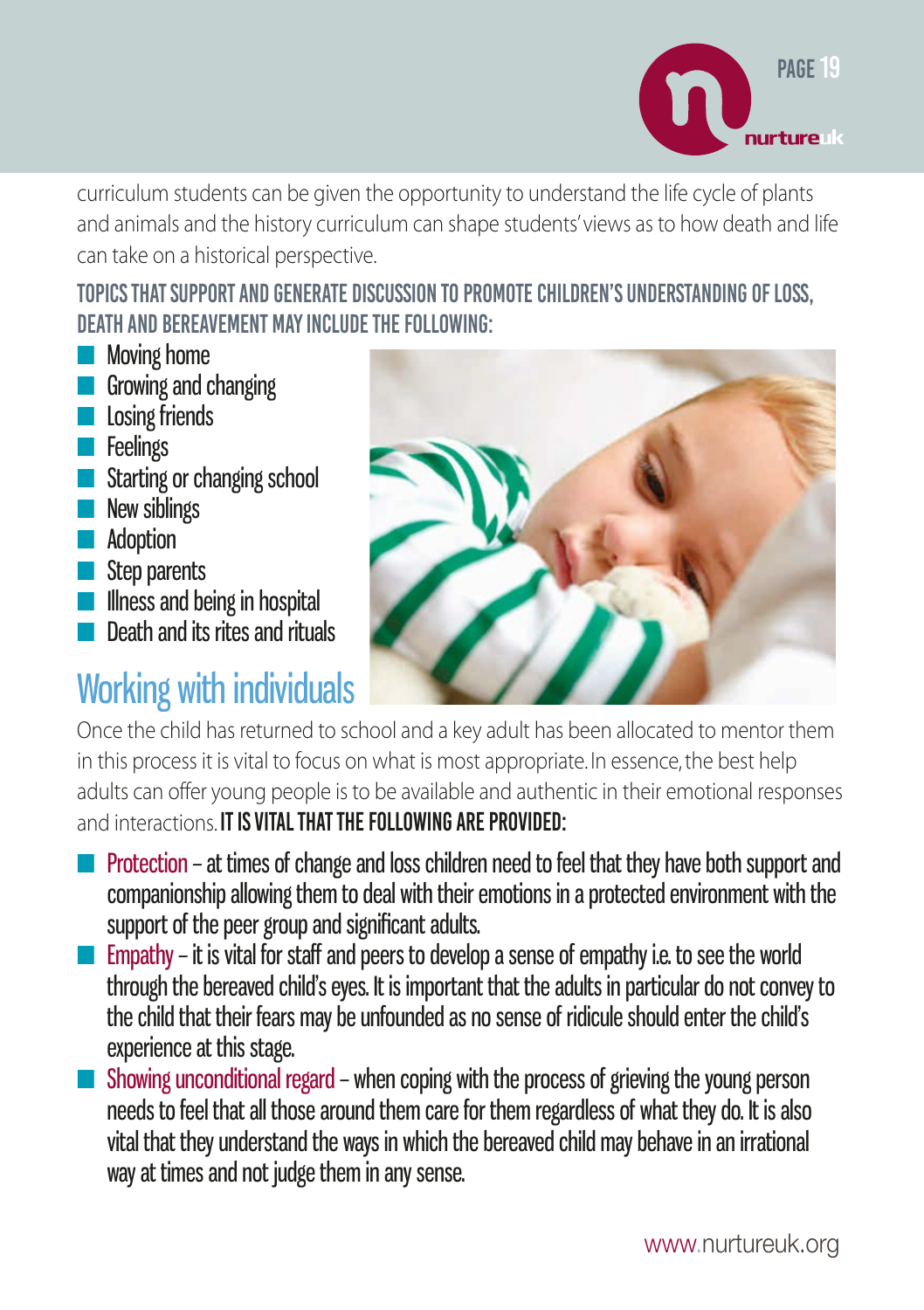

curriculum students can be given the opportunity to understand the life cycle of plants and animals and the history curriculum can shape students' views as to how death and life can take on a historical perspective.

Topics that support and generate discussion to promote children's understanding of loss, death and bereavement may include the following:

- Moving home
- Growing and changing
- **■** Losing friends
- Feelings
- Starting or changing school
- **New siblings**
- Adoption
- Step parents
- Illness and being in hospital
- Death and its rites and rituals

# Working with individuals



Once the child has returned to school and a key adult has been allocated to mentor them in this process it is vital to focus on what is most appropriate. In essence, the best help adults can offer young people is to be available and authentic in their emotional responses and interactions. IT IS VITAL THAT THE FOLLOWING ARE PROVIDED:

- Protection at times of change and loss children need to feel that they have both support and companionship allowing them to deal with their emotions in a protected environment with the support of the peer group and significant adults.
- $\blacksquare$  Empathy it is vital for staff and peers to develop a sense of empathy i.e. to see the world through the bereaved child's eyes. It is important that the adults in particular do not convey to the child that their fears may be unfounded as no sense of ridicule should enter the child's experience at this stage.
- Showing unconditional regard when coping with the process of grieving the young person needs to feel that all those around them care for them regardless of what they do. It is also vital that they understand the ways in which the bereaved child may behave in an irrational way at times and not judge them in any sense.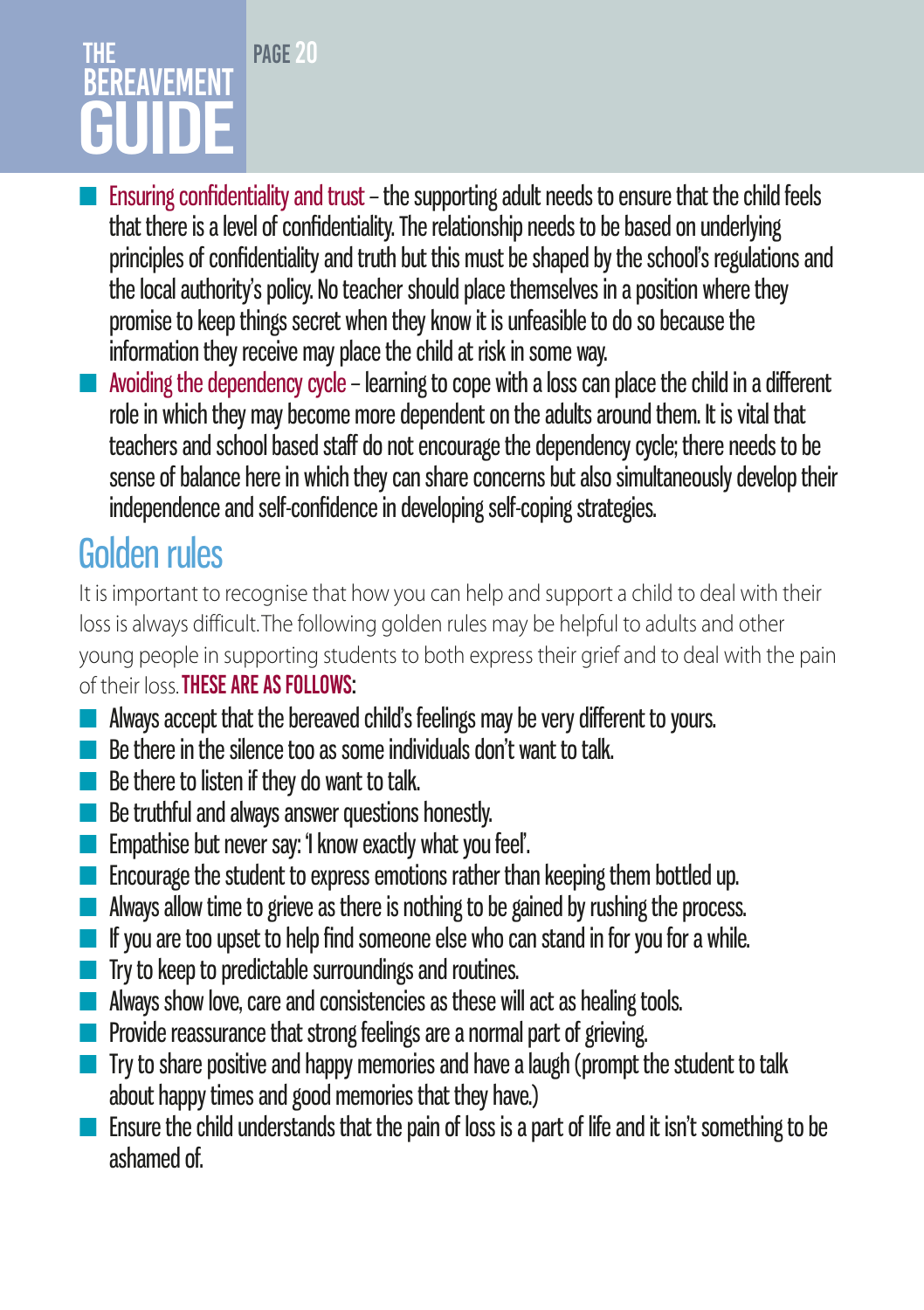### PAGE<sub>20</sub> The **BEREAVEMENT** GUIDE

- **E** Ensuring confidentiality and trust the supporting adult needs to ensure that the child feels that there is a level of confidentiality. The relationship needs to be based on underlying principles of confidentiality and truth but this must be shaped by the school's regulations and the local authority's policy. No teacher should place themselves in a position where they promise to keep things secret when they know it is unfeasible to do so because the information they receive may place the child at risk in some way.
- Avoiding the dependency cycle learning to cope with a loss can place the child in a different role in which they may become more dependent on the adults around them. It is vital that teachers and school based staff do not encourage the dependency cycle; there needs to be sense of balance here in which they can share concerns but also simultaneously develop their independence and self-confidence in developing self-coping strategies.

# Golden rules

It is important to recognise that how you can help and support a child to deal with their loss is always difficult. The following golden rules may be helpful to adults and other young people in supporting students to both express their grief and to deal with the pain of their loss. These are as follows:

- Always accept that the bereaved child's feelings may be very different to yours.
- Be there in the silence too as some individuals don't want to talk.
- Be there to listen if they do want to talk.
- Be truthful and always answer questions honestly.
- Empathise but never say: 'I know exactly what you feel'.
- Encourage the student to express emotions rather than keeping them bottled up.
- Always allow time to grieve as there is nothing to be gained by rushing the process.
- If you are too upset to help find someone else who can stand in for you for a while.
- Try to keep to predictable surroundings and routines.
- Always show love, care and consistencies as these will act as healing tools.
- Provide reassurance that strong feelings are a normal part of grieving.
- Try to share positive and happy memories and have a laugh (prompt the student to talk about happy times and good memories that they have.)
- Ensure the child understands that the pain of loss is a part of life and it isn't something to be ashamed of.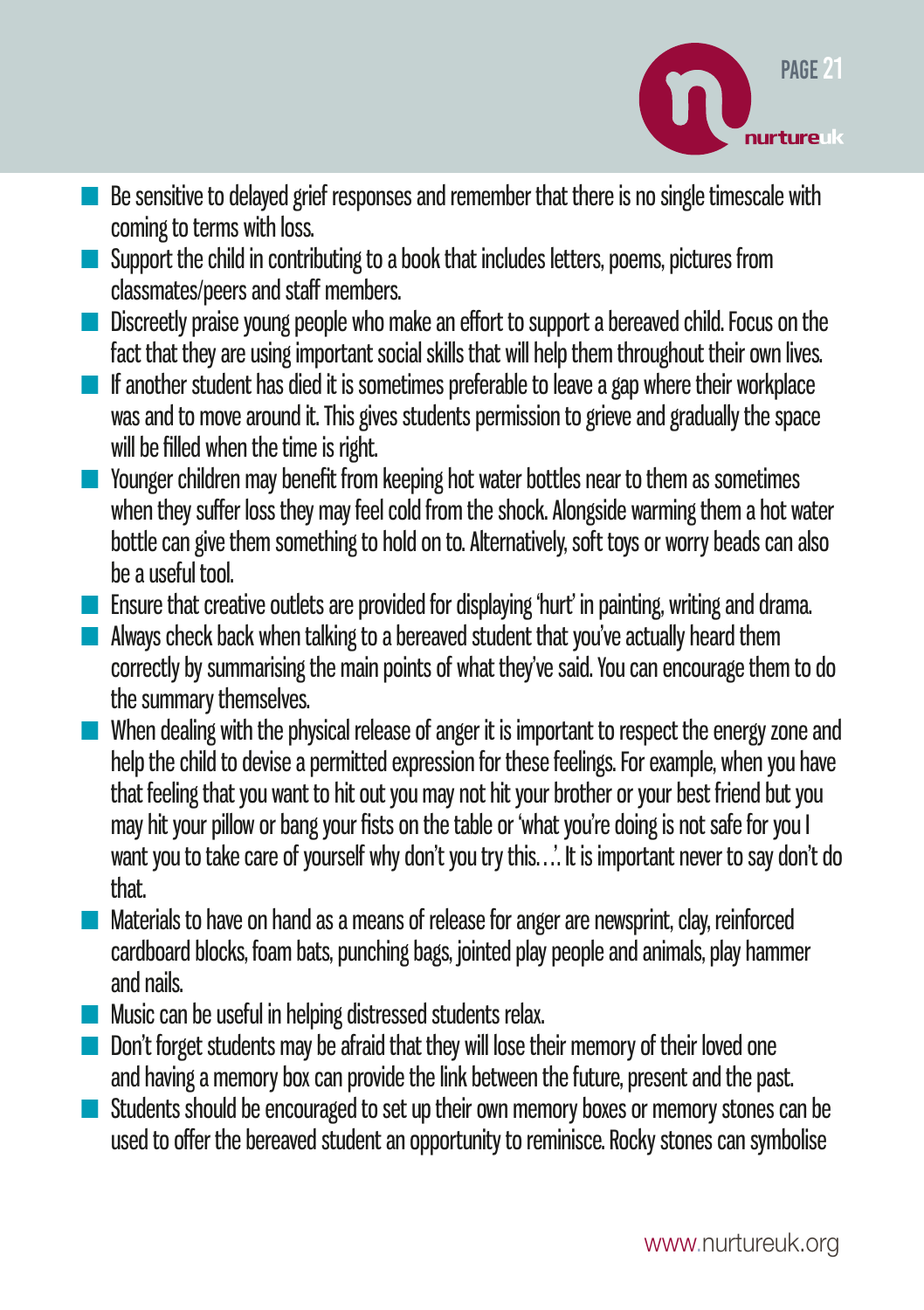

- Be sensitive to delayed grief responses and remember that there is no single timescale with coming to terms with loss.
- Support the child in contributing to a book that includes letters, poems, pictures from classmates/peers and staff members.
- Discreetly praise young people who make an effort to support a bereaved child. Focus on the fact that they are using important social skills that will help them throughout their own lives.
- If another student has died it is sometimes preferable to leave a gap where their workplace was and to move around it. This gives students permission to grieve and gradually the space will be filled when the time is right.
- Younger children may benefit from keeping hot water bottles near to them as sometimes when they suffer loss they may feel cold from the shock. Alongside warming them a hot water bottle can give them something to hold on to. Alternatively, soft toys or worry beads can also be a useful tool.
- Ensure that creative outlets are provided for displaying 'hurt' in painting, writing and drama.
- $\blacksquare$  Always check back when talking to a bereaved student that you've actually heard them correctly by summarising the main points of what they've said. You can encourage them to do the summary themselves.
- When dealing with the physical release of anger it is important to respect the energy zone and help the child to devise a permitted expression for these feelings. For example, when you have that feeling that you want to hit out you may not hit your brother or your best friend but you may hit your pillow or bang your fists on the table or 'what you're doing is not safe for you I want you to take care of yourself why don't you try this…'. It is important never to say don't do that.
- Materials to have on hand as a means of release for anger are newsprint, clay, reinforced cardboard blocks, foam bats, punching bags, jointed play people and animals, play hammer and nails.
- Music can be useful in helping distressed students relax.
- Don't forget students may be afraid that they will lose their memory of their loved one and having a memory box can provide the link between the future, present and the past.
- Students should be encouraged to set up their own memory boxes or memory stones can be used to offer the bereaved student an opportunity to reminisce. Rocky stones can symbolise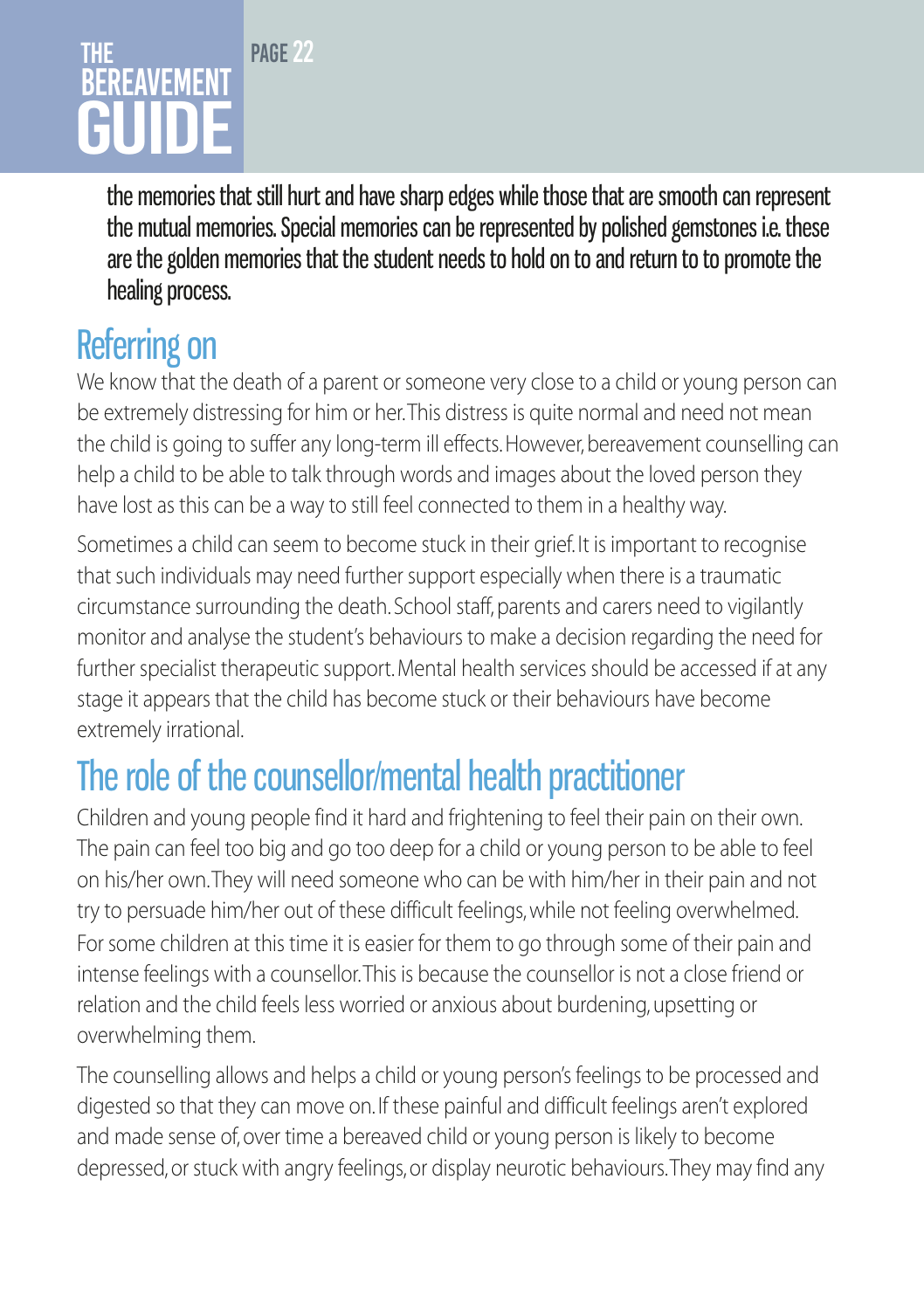### PAGE<sub>22</sub> The REAVEMENT GUIDE

the memories that still hurt and have sharp edges while those that are smooth can represent the mutual memories. Special memories can be represented by polished gemstones i.e. these are the golden memories that the student needs to hold on to and return to to promote the healing process.

# Referring on

We know that the death of a parent or someone very close to a child or young person can be extremely distressing for him or her. This distress is quite normal and need not mean the child is going to suffer any long-term ill effects. However, bereavement counselling can help a child to be able to talk through words and images about the loved person they have lost as this can be a way to still feel connected to them in a healthy way.

Sometimes a child can seem to become stuck in their grief. It is important to recognise that such individuals may need further support especially when there is a traumatic circumstance surrounding the death. School staff, parents and carers need to vigilantly monitor and analyse the student's behaviours to make a decision regarding the need for further specialist therapeutic support. Mental health services should be accessed if at any stage it appears that the child has become stuck or their behaviours have become extremely irrational.

# The role of the counsellor/mental health practitioner

Children and young people find it hard and frightening to feel their pain on their own. The pain can feel too big and go too deep for a child or young person to be able to feel on his/her own. They will need someone who can be with him/her in their pain and not try to persuade him/her out of these difficult feelings, while not feeling overwhelmed. For some children at this time it is easier for them to go through some of their pain and intense feelings with a counsellor. This is because the counsellor is not a close friend or relation and the child feels less worried or anxious about burdening, upsetting or overwhelming them.

The counselling allows and helps a child or young person's feelings to be processed and digested so that they can move on. If these painful and difficult feelings aren't explored and made sense of, over time a bereaved child or young person is likely to become depressed, or stuck with angry feelings, or display neurotic behaviours. They may find any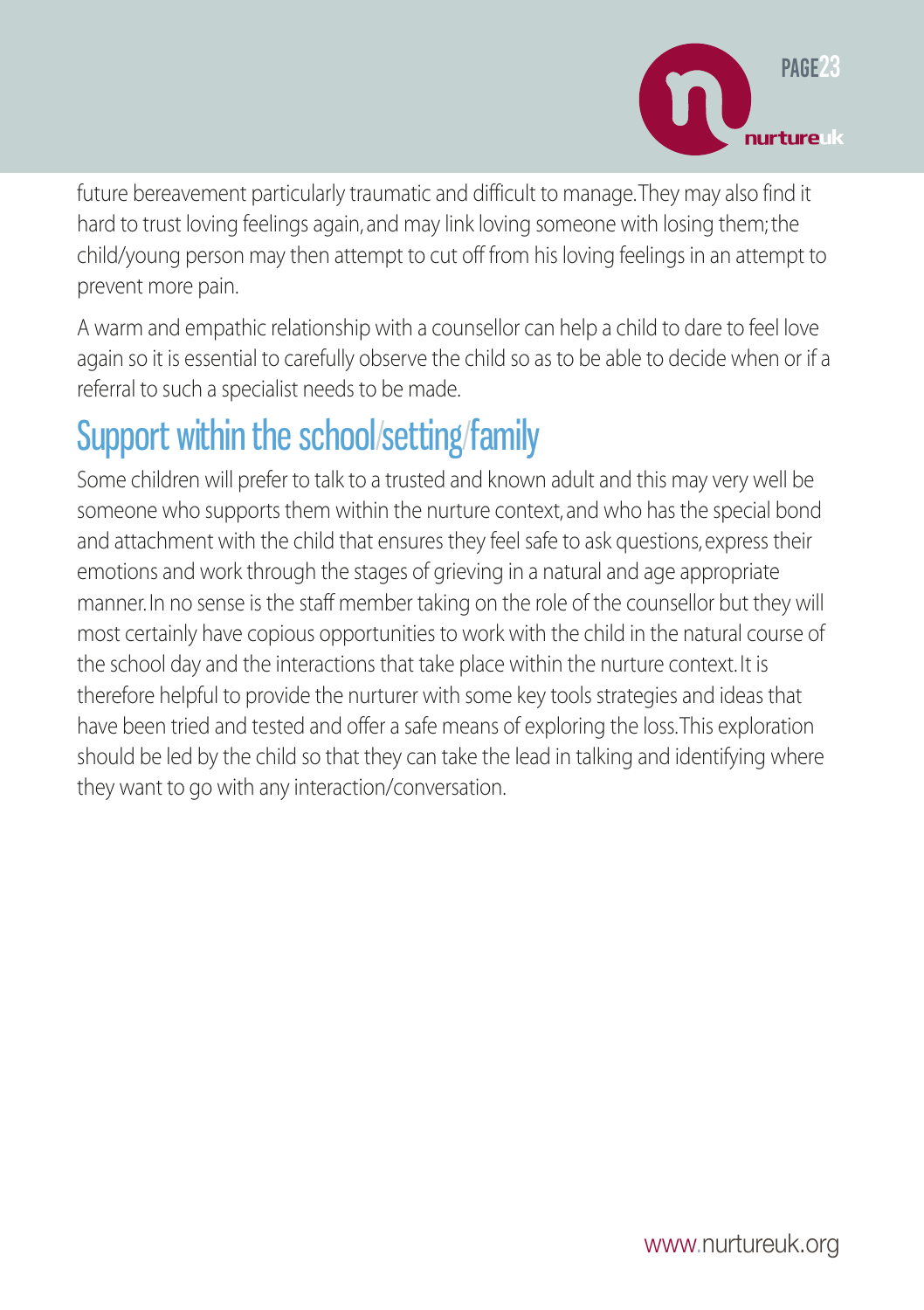

future bereavement particularly traumatic and difficult to manage. They may also find it hard to trust loving feelings again, and may link loving someone with losing them; the child/young person may then attempt to cut off from his loving feelings in an attempt to prevent more pain.

A warm and empathic relationship with a counsellor can help a child to dare to feel love again so it is essential to carefully observe the child so as to be able to decide when or if a referral to such a specialist needs to be made.

# Support within the school/setting/family

Some children will prefer to talk to a trusted and known adult and this may very well be someone who supports them within the nurture context, and who has the special bond and attachment with the child that ensures they feel safe to ask questions, express their emotions and work through the stages of grieving in a natural and age appropriate manner. In no sense is the staff member taking on the role of the counsellor but they will most certainly have copious opportunities to work with the child in the natural course of the school day and the interactions that take place within the nurture context. It is therefore helpful to provide the nurturer with some key tools strategies and ideas that have been tried and tested and offer a safe means of exploring the loss. This exploration should be led by the child so that they can take the lead in talking and identifying where they want to go with any interaction/conversation.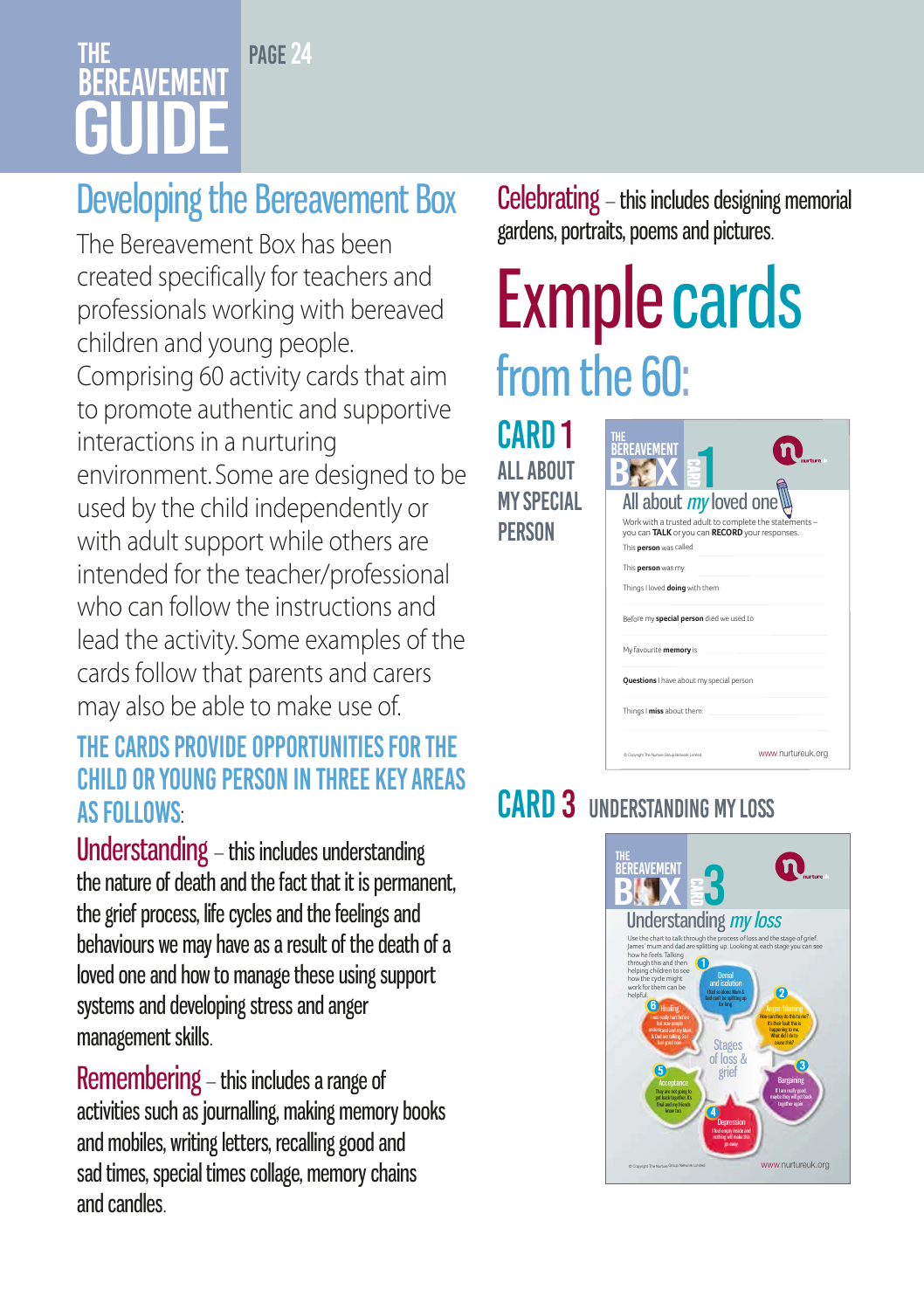### PAGE<sub>24</sub> The **BEREAVEMENT** GUIDE

# Developing the Bereavement Box

The Bereavement Box has been created specifically for teachers and professionals working with bereaved children and young people. Comprising 60 activity cards that aim to promote authentic and supportive interactions in a nurturing environment. Some are designed to be used by the child independently or with adult support while others are intended for the teacher/professional who can follow the instructions and lead the activity. Some examples of the cards follow that parents and carers may also be able to make use of.

### The cards provide opportunities for the child or young person in three key areas **AS FOLLOWS:**

Understanding – this includes understanding the nature of death and the fact that it is permanent, the grief process, life cycles and the feelings and behaviours we may have as a result of the death of a loved one and how to manage these using support systems and developing stress and anger management skills.

Remembering – this includes a range of activities such as journalling, making memory books and mobiles, writing letters, recalling good and sad times, special times collage, memory chains and candles.

Celebrating – this includes designing memorial gardens, portraits, poems and pictures.

# Exmplecards from the 60:

CARD<sub>1</sub> **ALL ABOUT** my special **PERSON** 

| All about my loved one                                                                                   |
|----------------------------------------------------------------------------------------------------------|
| Work with a trusted adult to complete the statements -<br>you can TALK or you can RECORD your responses. |
| This person was called:                                                                                  |
| This person was my:                                                                                      |
| Things I loved doing with them:                                                                          |
| Before my special person died we used to:                                                                |
| My favourite memory is:                                                                                  |
| Ouestions I have about my special person:                                                                |
| Things I miss about them:                                                                                |
| www.nurtureuk.org<br>O Copyright The Narture Group Network Limited                                       |

# CARD 3 UNDERSTANDING MY LOSS

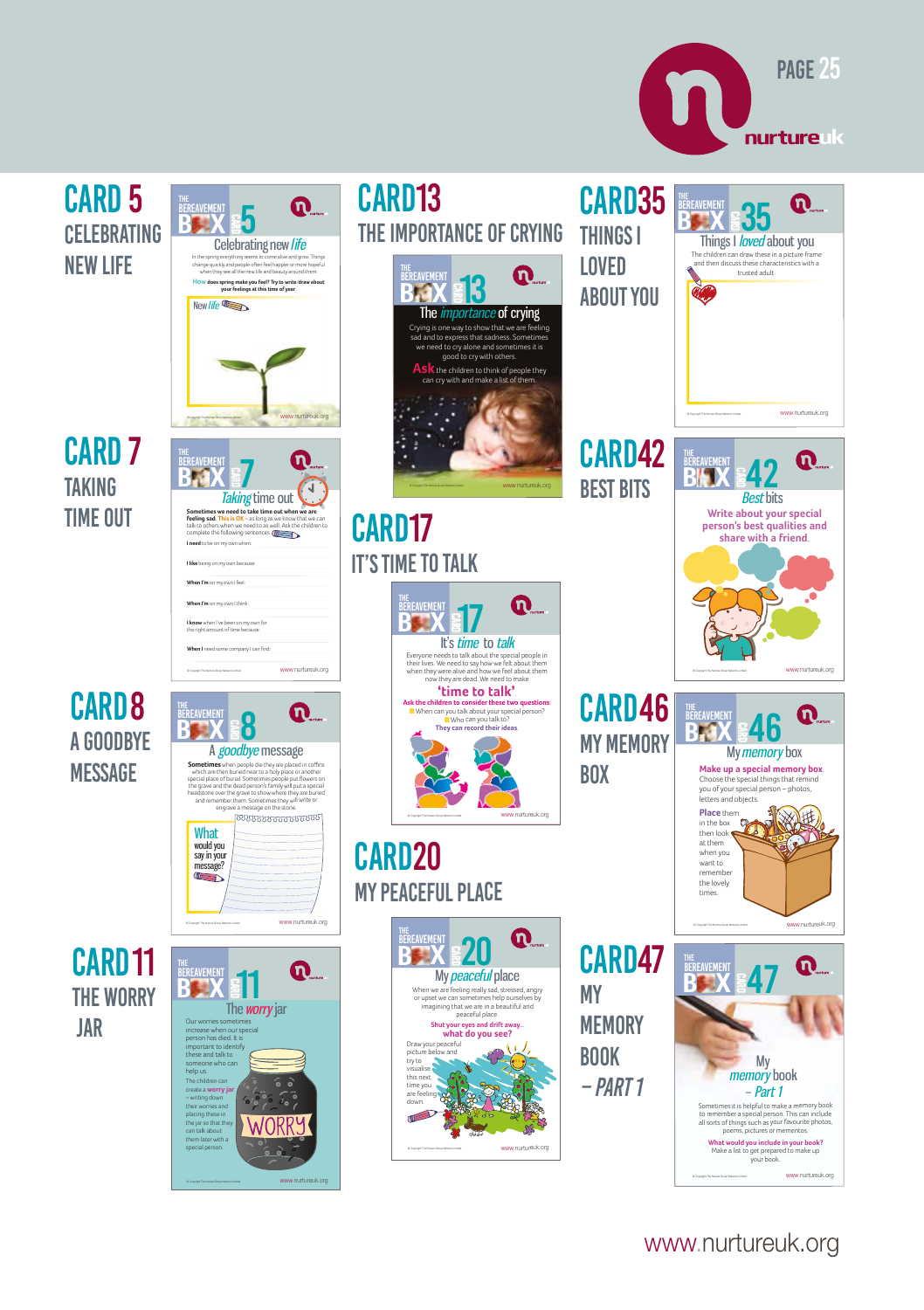



www.nurtureuk.org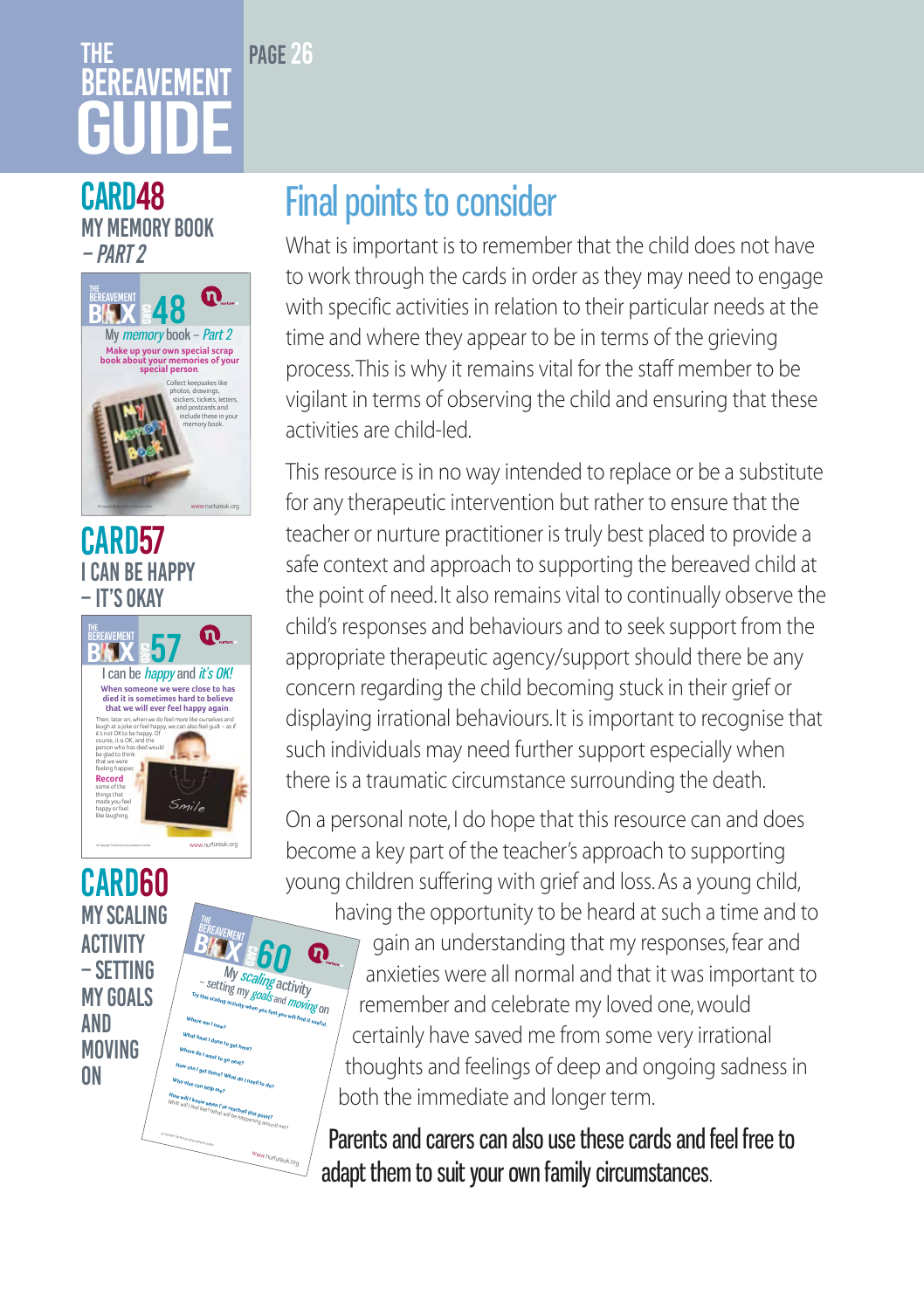# **THF RFRFAVFMFN1** GUIDE

PAGE 26

#### CARD48 My memory book – Part 2



### CARD<sub>57</sub> I can be happy – it's okay



E My scaling activity<br>
Figure action of my goals and moving on<br> *My scaling activity when you here...* 10

ഩ

**Try this scaling activity when you feel you will find it useful.**<br>Where am I now? **All individual interval** 

Www nunureuk Οŋ

**What have I done to get here? Where do I want to go next? How can I get there? What do I need to do? Who else can help me? How will I know when I've reached this point?**<br>What will I feel like? What will be have What will I feel like? What will be happening around me?<br>What will I feel like? What will be happening around me?

- Campy Pa-Nyin (Fox Whether Child

BEREAVEMENT  $\overset{\tiny\textit{BERT}}{\textit{B}}$  **BITY & 60** 

#### **CARD60** My scaling **ACTIVITY** – setting my goals **AND** moving **ON**

# Final points to consider

What is important is to remember that the child does not have to work through the cards in order as they may need to engage with specific activities in relation to their particular needs at the time and where they appear to be in terms of the grieving process. This is why it remains vital for the staff member to be vigilant in terms of observing the child and ensuring that these activities are child-led.

This resource is in no way intended to replace or be a substitute for any therapeutic intervention but rather to ensure that the teacher or nurture practitioner is truly best placed to provide a safe context and approach to supporting the bereaved child at the point of need. It also remains vital to continually observe the child's responses and behaviours and to seek support from the appropriate therapeutic agency/support should there be any concern regarding the child becoming stuck in their grief or displaying irrational behaviours. It is important to recognise that such individuals may need further support especially when there is a traumatic circumstance surrounding the death.

On a personal note, I do hope that this resource can and does become a key part of the teacher's approach to supporting young children suffering with grief and loss. As a young child,

having the opportunity to be heard at such a time and to gain an understanding that my responses, fear and anxieties were all normal and that it was important to remember and celebrate my loved one, would certainly have saved me from some very irrational thoughts and feelings of deep and ongoing sadness in both the immediate and longer term.

Parents and carers can also use these cards and feel free to adapt them to suit your own family circumstances.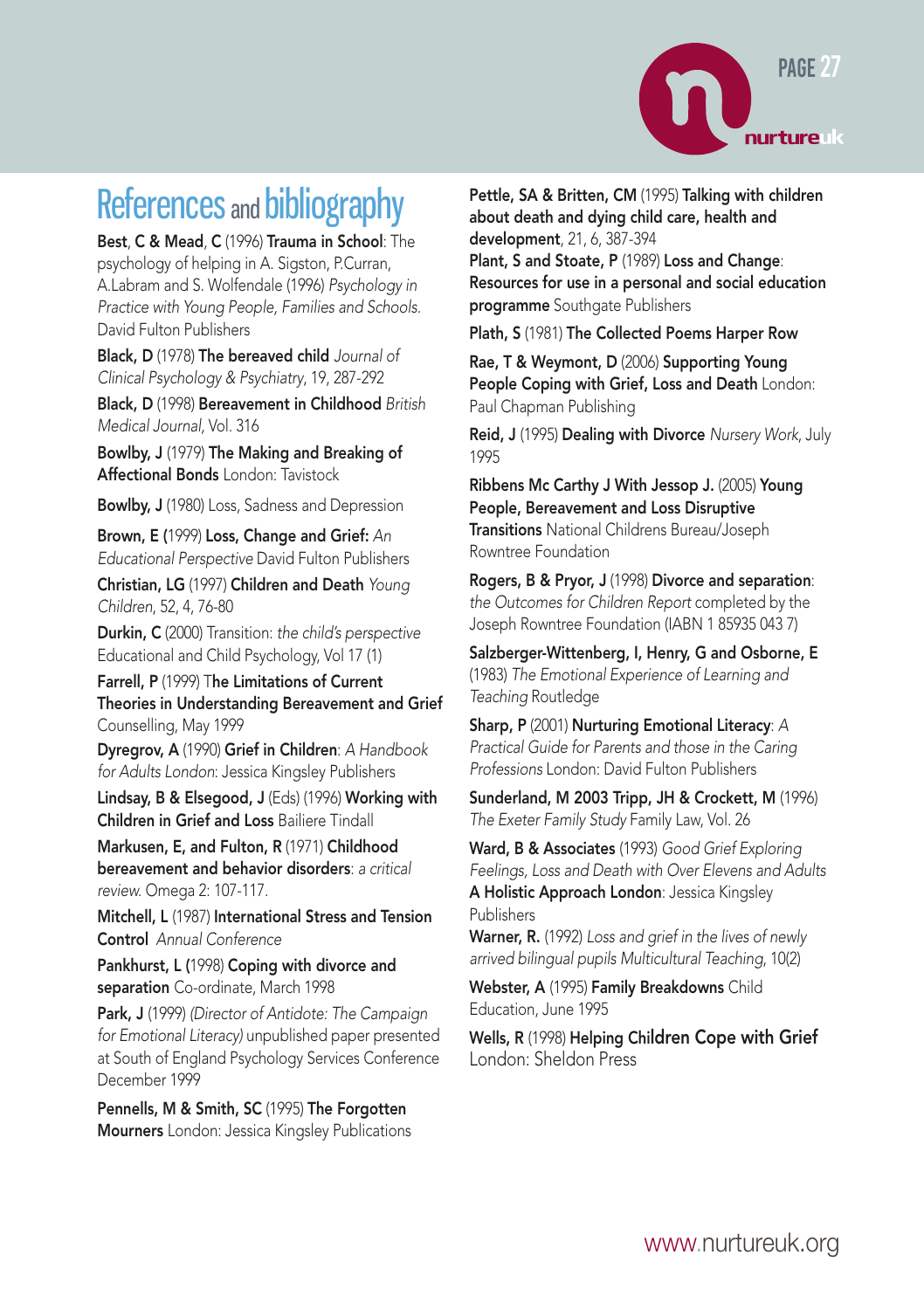

# References and bibliography

Best, C & Mead, C (1996) Trauma in School: The psychology of helping in A. Sigston, P.Curran, A.Labram and S. Wolfendale (1996) *Psychology in Practice with Young People, Families and Schools*. David Fulton Publishers

Black, D (1978) The bereaved child *Journal of Clinical Psychology & Psychiatry*, 19, 287-292

Black, D (1998) Bereavement in Childhood *British Medical Journal,* Vol. 316

Bowlby, J (1979) The Making and Breaking of Affectional Bonds London: Tavistock

Bowlby, J (1980) Loss, Sadness and Depression

Brown, E (1999) Loss, Change and Grief: *An Educational Perspective* David Fulton Publishers

Christian, LG (1997) Children and Death *Young Children*, 52, 4, 76-80

Durkin, C (2000) Transition: *the child's perspective* Educational and Child Psychology, Vol 17 (1)

Farrell, P (1999) The Limitations of Current Theories in Understanding Bereavement and Grief Counselling, May 1999

Dyregrov, A (1990) Grief in Children: *A Handbook for Adults London*: Jessica Kingsley Publishers

Lindsay, B & Elsegood, J (Eds) (1996) Working with Children in Grief and Loss Bailiere Tindall

Markusen, E, and Fulton, R (1971) Childhood bereavement and behavior disorders: *a critical review.* Omega 2: 107-117.

Mitchell, L (1987) International Stress and Tension Control *Annual Conference*

Pankhurst, L (1998) Coping with divorce and separation Co-ordinate, March 1998

Park, J (1999) *(Director of Antidote: The Campaign for Emotional Literacy)* unpublished paper presented at South of England Psychology Services Conference December 1999

Pennells, M & Smith, SC (1995) The Forgotten Mourners London: Jessica Kingsley Publications Pettle, SA & Britten, CM (1995) Talking with children about death and dying child care, health and development, 21, 6, 387-394

Plant, S and Stoate, P (1989) Loss and Change: Resources for use in a personal and social education programme Southgate Publishers

Plath, S (1981) The Collected Poems Harper Row

Rae, T & Weymont, D (2006) Supporting Young People Coping with Grief, Loss and Death London: Paul Chapman Publishing

Reid, J (1995) Dealing with Divorce *Nursery Work*, July 1995

Ribbens Mc Carthy J With Jessop J. (2005) Young People, Bereavement and Loss Disruptive

Transitions National Childrens Bureau/Joseph Rowntree Foundation

Rogers, B & Pryor, J (1998) Divorce and separation: *the Outcomes for Children Report* completed by the Joseph Rowntree Foundation (IABN 1 85935 043 7)

Salzberger-Wittenberg, I, Henry, G and Osborne, E (1983) *The Emotional Experience of Learning and Teaching* Routledge

Sharp, P (2001) Nurturing Emotional Literacy: *A Practical Guide for Parents and those in the Caring Professions* London: David Fulton Publishers

Sunderland, M 2003 Tripp, JH & Crockett, M (1996) *The Exeter Family Study* Family Law, Vol. 26

Ward, B & Associates (1993) *Good Grief Exploring Feelings, Loss and Death with Over Elevens and Adults* A Holistic Approach London: Jessica Kingsley Publishers

Warner, R. (1992) *Loss and grief in the lives of newly arrived bilingual pupils Multicultural Teaching*, 10(2)

Webster, A (1995) Family Breakdowns Child Education, June 1995

Wells, R (1998) Helping Children Cope with Grief London: Sheldon Press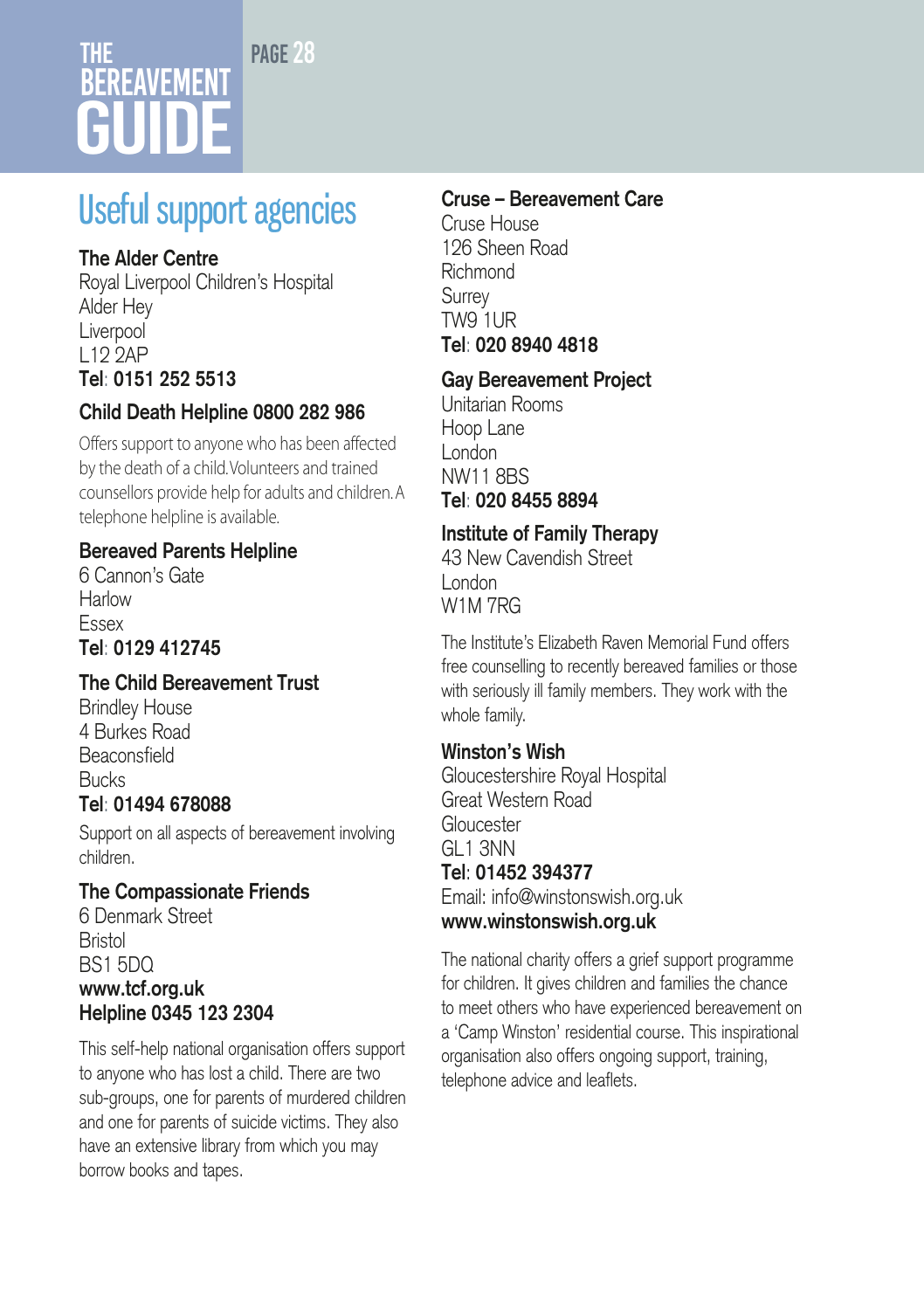#### PAGE 28

# The **BEREAVEMENT** GUIDE

# Useful support agencies

#### **The Alder Centre**

Royal Liverpool Children's Hospital Alder Hey **Liverpool** L12 2AP **Tel**: **0151 252 5513**

#### **Child Death Helpline 0800 282 986**

Offers support to anyone who has been affected by the death of a child. Volunteers and trained counsellors provide help for adults and children. A telephone helpline is available.

#### **Bereaved Parents Helpline**

6 Cannon's Gate **Harlow** Essex **Tel**: **0129 412745**

#### **The Child Bereavement Trust**

Brindley House 4 Burkes Road Beaconsfield Bucks **Tel**: **01494 678088**

Support on all aspects of bereavement involving children.

#### **The Compassionate Friends**

6 Denmark Street **Bristol** BS1 5DQ **www.tcf.org.uk Helpline 0345 123 2304** 

This self-help national organisation offers support to anyone who has lost a child. There are two sub-groups, one for parents of murdered children and one for parents of suicide victims. They also have an extensive library from which you may borrow books and tapes.

#### **Cruse – Bereavement Care**

Cruse House 126 Sheen Road Richmond **Surrey** TW9 1UR **Tel**: **020 8940 4818**

#### **Gay Bereavement Project**

Unitarian Rooms Hoop Lane London NW11 8BS **Tel**: **020 8455 8894**

#### **Institute of Family Therapy**

43 New Cavendish Street London W1M 7RG

The Institute's Elizabeth Raven Memorial Fund offers free counselling to recently bereaved families or those with seriously ill family members. They work with the whole family.

#### **Winston's Wish**

Gloucestershire Royal Hospital Great Western Road **Gloucester** GL1 3NN **Tel**: **01452 394377** Email: info@winstonswish.org.uk **www.winstonswish.org.uk**

The national charity offers a grief support programme for children. It gives children and families the chance to meet others who have experienced bereavement on a 'Camp Winston' residential course. This inspirational organisation also offers ongoing support, training, telephone advice and leaflets.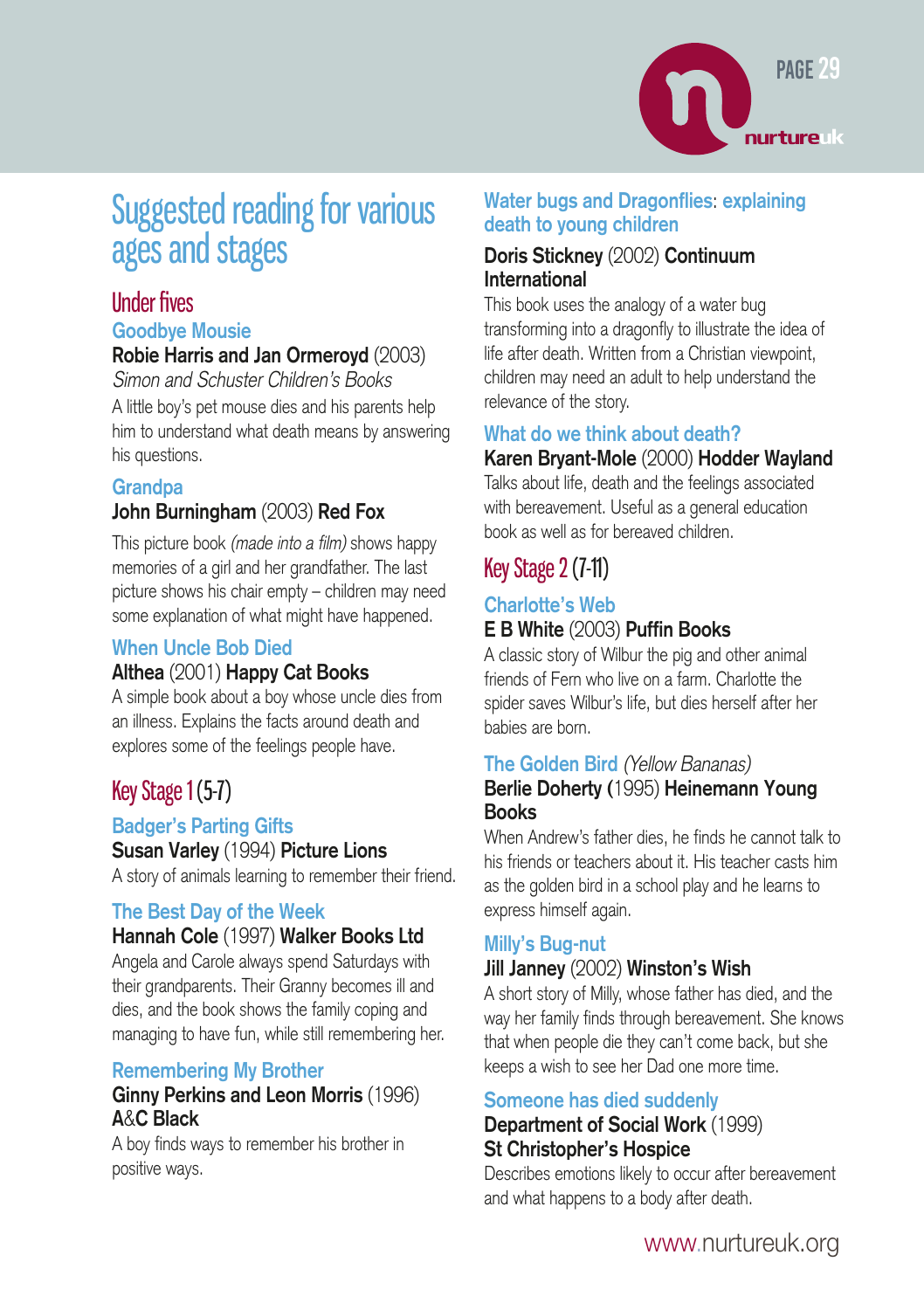

# Suggested reading for various ages and stages

#### Under fives

#### **Goodbye Mousie**

#### **Robie Harris and Jan Ormeroyd** (2003)

Simon and Schuster Children's Books A little boy's pet mouse dies and his parents help him to understand what death means by answering his questions.

#### **Grandpa**

#### **John Burningham** (2003) **Red Fox**

This picture book (made into a film) shows happy memories of a girl and her grandfather. The last picture shows his chair empty – children may need some explanation of what might have happened.

#### **When Uncle Bob Died**

#### **Althea** (2001) **Happy Cat Books**

A simple book about a boy whose uncle dies from an illness. Explains the facts around death and explores some of the feelings people have.

### Key Stage 1(5-7)

#### **Badger's Parting Gifts**

**Susan Varley** (1994) **Picture Lions**

A story of animals learning to remember their friend.

#### **The Best Day of the Week**

#### **Hannah Cole** (1997) **Walker Books Ltd**

Angela and Carole always spend Saturdays with their grandparents. Their Granny becomes ill and dies, and the book shows the family coping and managing to have fun, while still remembering her.

#### **Remembering My Brother**

#### **Ginny Perkins and Leon Morris** (1996) **A**&**C Black**

A boy finds ways to remember his brother in positive ways.

#### **Water bugs and Dragonflies**: **explaining death to young children**

#### **Doris Stickney** (2002) **Continuum International**

This book uses the analogy of a water bug transforming into a dragonfly to illustrate the idea of life after death. Written from a Christian viewpoint, children may need an adult to help understand the relevance of the story.

#### **What do we think about death?**

#### **Karen Bryant-Mole** (2000) **Hodder Wayland**

Talks about life, death and the feelings associated with bereavement. Useful as a general education book as well as for bereaved children.

### Key Stage 2(7-11)

#### **Charlotte's Web E B White** (2003) **Puffin Books**

A classic story of Wilbur the pig and other animal friends of Fern who live on a farm. Charlotte the spider saves Wilbur's life, but dies herself after her babies are born.

#### **The Golden Bird** (Yellow Bananas)

#### **Berlie Doherty (**1995) **Heinemann Young Books**

When Andrew's father dies, he finds he cannot talk to his friends or teachers about it. His teacher casts him as the golden bird in a school play and he learns to express himself again.

#### **Milly's Bug-nut**

#### **Jill Janney** (2002) **Winston's Wish**

A short story of Milly, whose father has died, and the way her family finds through bereavement. She knows that when people die they can't come back, but she keeps a wish to see her Dad one more time.

#### **Someone has died suddenly**

#### **Department of Social Work** (1999) **St Christopher's Hospice**

Describes emotions likely to occur after bereavement and what happens to a body after death.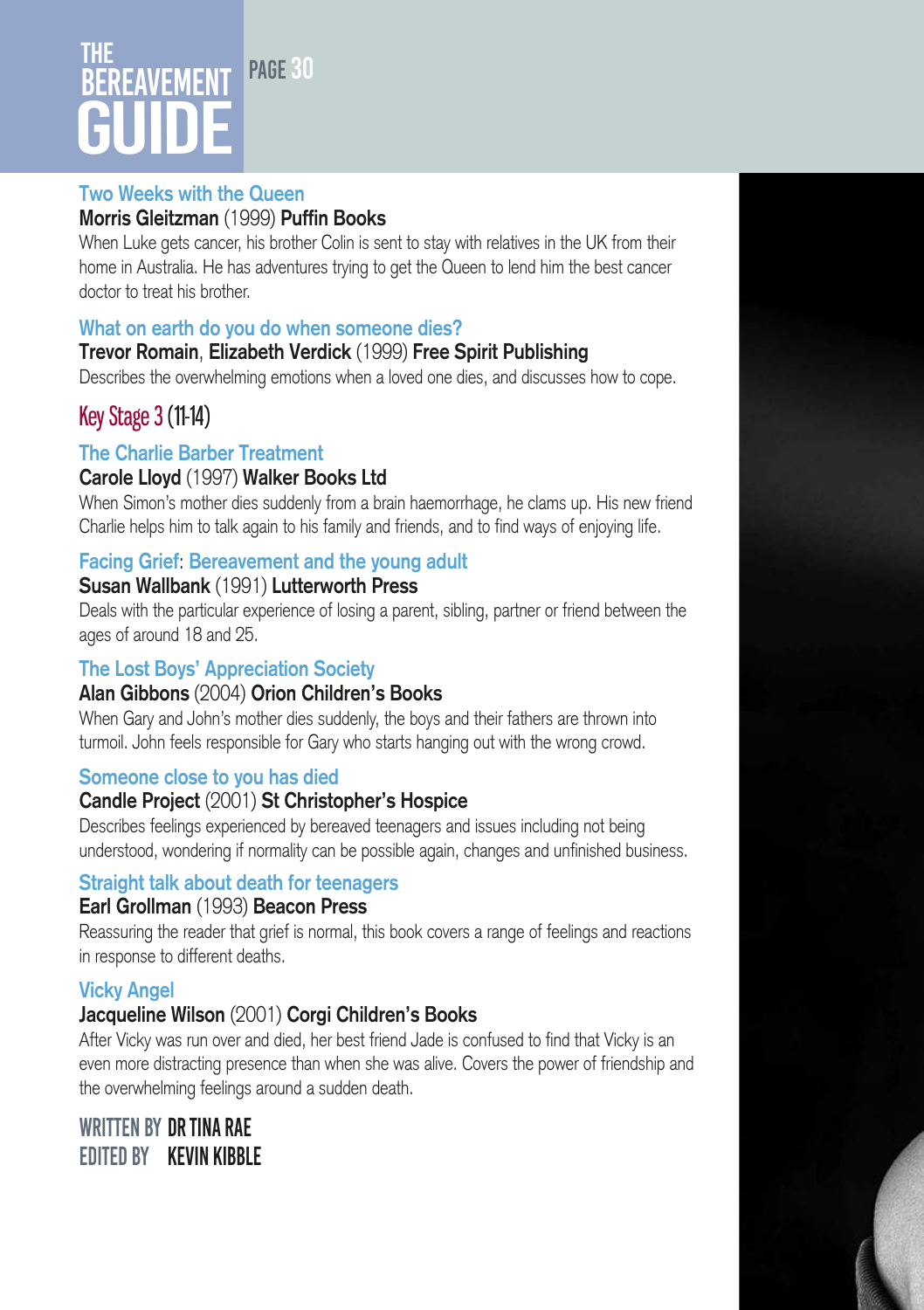### PAGE 31 The RFAVFMFNT GUIDE

#### **Two Weeks with the Queen**

#### **Morris Gleitzman** (1999) **Puffin Books**

When Luke gets cancer, his brother Colin is sent to stay with relatives in the UK from their home in Australia. He has adventures trying to get the Queen to lend him the best cancer doctor to treat his brother.

#### **What on earth do you do when someone dies?**

#### **Trevor Romain**, **Elizabeth Verdick** (1999) **Free Spirit Publishing**

Describes the overwhelming emotions when a loved one dies, and discusses how to cope.

#### Key Stage 3 (11-14)

#### **The Charlie Barber Treatment**

#### **Carole Lloyd** (1997) **Walker Books Ltd**

When Simon's mother dies suddenly from a brain haemorrhage, he clams up. His new friend Charlie helps him to talk again to his family and friends, and to find ways of enjoying life.

#### **Facing Grief**: **Bereavement and the young adult**

#### **Susan Wallbank** (1991) **Lutterworth Press**

Deals with the particular experience of losing a parent, sibling, partner or friend between the ages of around 18 and 25.

#### **The Lost Boys' Appreciation Society**

#### **Alan Gibbons** (2004) **Orion Children's Books**

When Gary and John's mother dies suddenly, the boys and their fathers are thrown into turmoil. John feels responsible for Gary who starts hanging out with the wrong crowd.

#### **Someone close to you has died**

#### **Candle Project** (2001) **St Christopher's Hospice**

Describes feelings experienced by bereaved teenagers and issues including not being understood, wondering if normality can be possible again, changes and unfinished business.

#### **Straight talk about death for teenagers**

#### **Earl Grollman** (1993) **Beacon Press**

Reassuring the reader that grief is normal, this book covers a range of feelings and reactions in response to different deaths.

#### **Vicky Angel**

#### **Jacqueline Wilson** (2001) **Corgi Children's Books**

After Vicky was run over and died, her best friend Jade is confused to find that Vicky is an even more distracting presence than when she was alive. Covers the power of friendship and the overwhelming feelings around a sudden death.

#### Written by Dr Tina Rae Edited by Kevin Kibble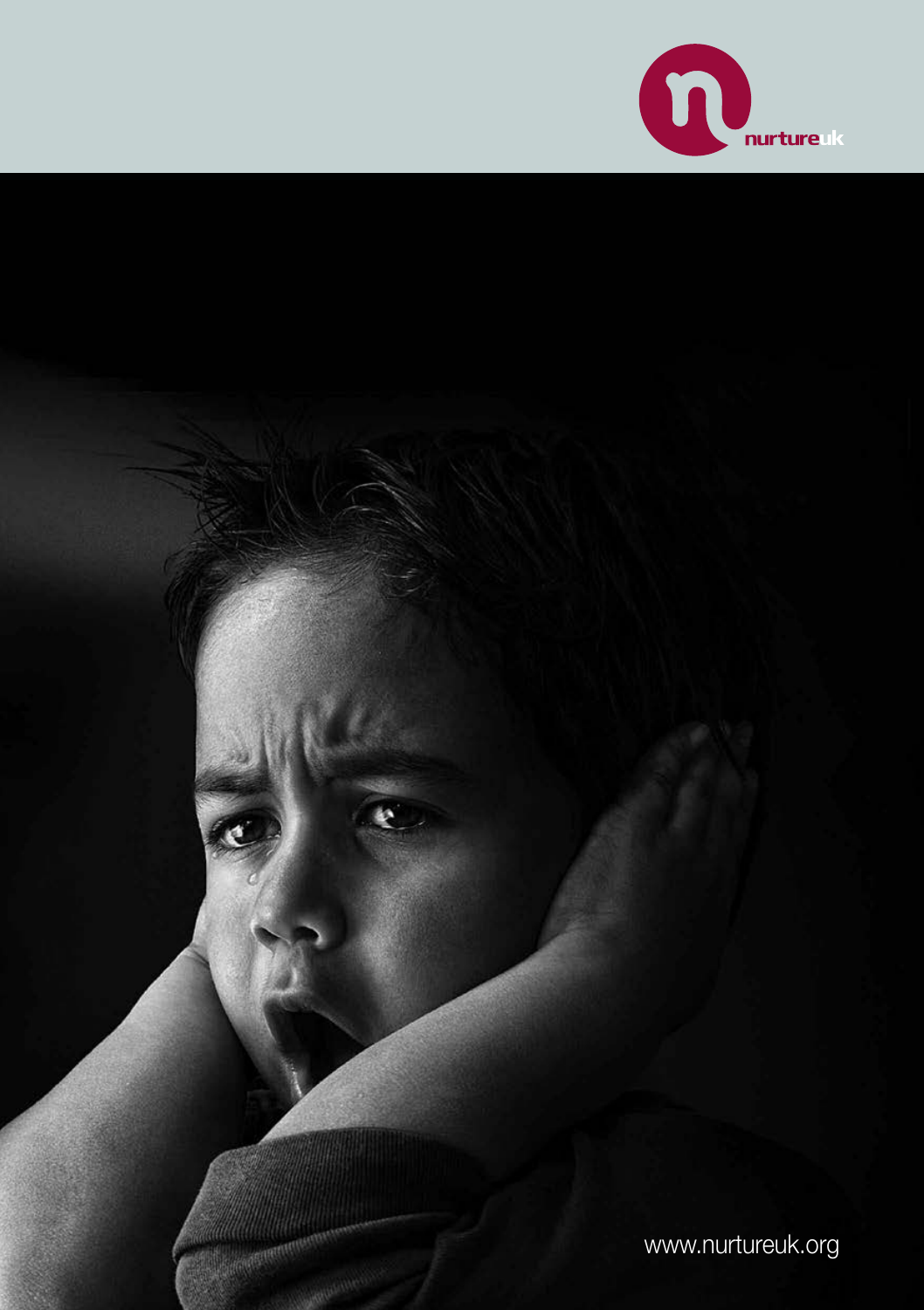